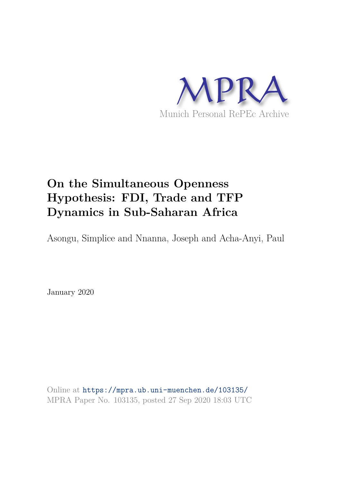

# **On the Simultaneous Openness Hypothesis: FDI, Trade and TFP Dynamics in Sub-Saharan Africa**

Asongu, Simplice and Nnanna, Joseph and Acha-Anyi, Paul

January 2020

Online at https://mpra.ub.uni-muenchen.de/103135/ MPRA Paper No. 103135, posted 27 Sep 2020 18:03 UTC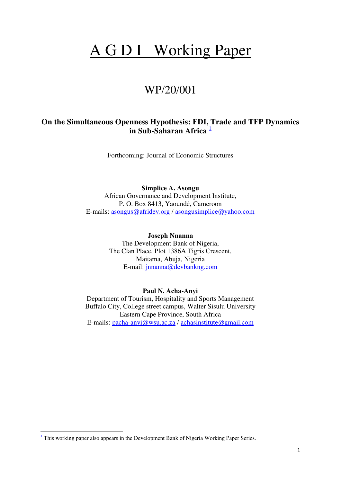# A G D I Working Paper

# WP/20/001

# **On the Simultaneous Openness Hypothesis: FDI, Trade and TFP Dynamics in Sub-Saharan Africa** <sup>1</sup>

Forthcoming: Journal of Economic Structures

**Simplice A. Asongu**  African Governance and Development Institute, P. O. Box 8413, Yaoundé, Cameroon E-mails: [asongus@afridev.org](mailto:asongus@afridev.org) / [asongusimplice@yahoo.com](mailto:asongusimplice@yahoo.com)

> **Joseph Nnanna**  The Development Bank of Nigeria, The Clan Place, Plot 1386A Tigris Crescent, Maitama, Abuja, Nigeria E-mail: [jnnanna@devbankng.com](mailto:jnnanna@devbankng.com)

# **Paul N. Acha-Anyi**

Department of Tourism, Hospitality and Sports Management Buffalo City, College street campus, Walter Sisulu University Eastern Cape Province, South Africa E-mails: [pacha-anyi@wsu.ac.za](mailto:pacha-anyi@wsu.ac.za) / [achasinstitute@gmail.com](mailto:achasinstitute@gmail.com)

 $\overline{a}$ 

<sup>&</sup>lt;sup>1</sup> This working paper also appears in the Development Bank of Nigeria Working Paper Series.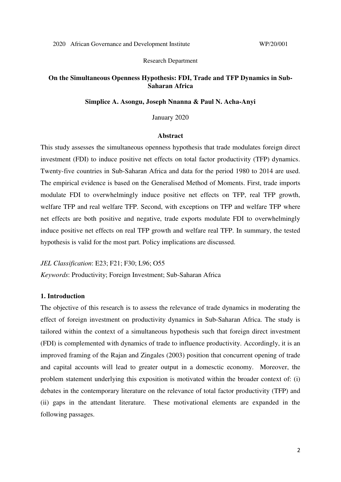# Research Department

# **On the Simultaneous Openness Hypothesis: FDI, Trade and TFP Dynamics in Sub-Saharan Africa**

# **Simplice A. Asongu, Joseph Nnanna & Paul N. Acha-Anyi**

#### January 2020

# **Abstract**

This study assesses the simultaneous openness hypothesis that trade modulates foreign direct investment (FDI) to induce positive net effects on total factor productivity (TFP) dynamics. Twenty-five countries in Sub-Saharan Africa and data for the period 1980 to 2014 are used. The empirical evidence is based on the Generalised Method of Moments. First, trade imports modulate FDI to overwhelmingly induce positive net effects on TFP, real TFP growth, welfare TFP and real welfare TFP. Second, with exceptions on TFP and welfare TFP where net effects are both positive and negative, trade exports modulate FDI to overwhelmingly induce positive net effects on real TFP growth and welfare real TFP. In summary, the tested hypothesis is valid for the most part. Policy implications are discussed.

*JEL Classification*: E23; F21; F30; L96; O55

*Keywords*: Productivity; Foreign Investment; Sub-Saharan Africa

# **1. Introduction**

The objective of this research is to assess the relevance of trade dynamics in moderating the effect of foreign investment on productivity dynamics in Sub-Saharan Africa. The study is tailored within the context of a simultaneous hypothesis such that foreign direct investment (FDI) is complemented with dynamics of trade to influence productivity. Accordingly, it is an improved framing of the Rajan and Zingales (2003) position that concurrent opening of trade and capital accounts will lead to greater output in a domesctic economy. Moreover, the problem statement underlying this exposition is motivated within the broader context of: (i) debates in the contemporary literature on the relevance of total factor productivity (TFP) and (ii) gaps in the attendant literature. These motivational elements are expanded in the following passages.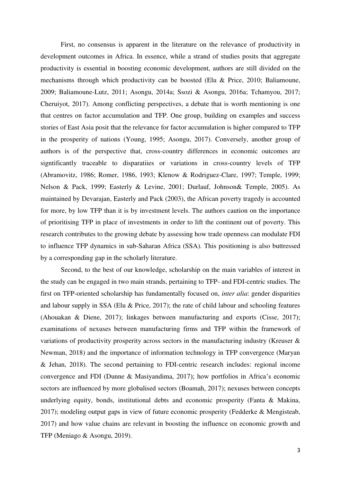First, no consensus is apparent in the literature on the relevance of productivity in development outcomes in Africa. In essence, while a strand of studies posits that aggregate productivity is essential in boosting economic development, authors are still divided on the mechanisms through which productivity can be boosted (Elu & Price, 2010; Baliamoune, 2009; Baliamoune-Lutz, 2011; Asongu, 2014a; Ssozi & Asongu, 2016a; Tchamyou, 2017; Cheruiyot, 2017). Among conflicting perspectives, a debate that is worth mentioning is one that centres on factor accumulation and TFP. One group, building on examples and success stories of East Asia posit that the relevance for factor accumulation is higher compared to TFP in the prosperity of nations (Young, 1995; Asongu, 2017). Conversely, another group of authors is of the perspective that, cross-country differences in economic outcomes are signtificantly traceable to disparatiies or variations in cross-country levels of TFP (Abramovitz, 1986; Romer, 1986, 1993; Klenow & Rodriguez-Clare, 1997; Temple, 1999; Nelson & Pack, 1999; Easterly & Levine, 2001; Durlauf, Johnson& Temple, 2005). As maintained by Devarajan, Easterly and Pack (2003), the African poverty tragedy is accounted for more, by low TFP than it is by investment levels. The authors caution on the importance of prioritising TFP in place of investments in order to lift the continent out of poverty. This research contributes to the growing debate by assessing how trade openness can modulate FDI to influence TFP dynamics in sub-Saharan Africa (SSA). This positioning is also buttressed by a corresponding gap in the scholarly literature.

 Second, to the best of our knowledge, scholarship on the main variables of interest in the study can be engaged in two main strands, pertaining to TFP- and FDI-centric studies. The first on TFP-oriented scholarship has fundamentally focused on, *inter alia*: gender disparities and labour supply in SSA (Elu & Price, 2017); the rate of child labour and schooling features (Ahouakan & Diene, 2017); linkages between manufacturing and exports (Cisse, 2017); examinations of nexuses between manufacturing firms and TFP within the framework of variations of productivity prosperity across sectors in the manufacturing industry (Kreuser & Newman, 2018) and the importance of information technology in TFP convergence (Maryan & Jehan, 2018). The second pertaining to FDI-centric research includes: regional income convergence and FDI (Dunne & Masiyandima, 2017); how portfolios in Africa's economic sectors are influenced by more globalised sectors (Boamah, 2017); nexuses between concepts underlying equity, bonds, institutional debts and economic prosperity (Fanta & Makina, 2017); modeling output gaps in view of future economic prosperity (Fedderke & Mengisteab, 2017) and how value chains are relevant in boosting the influence on economic growth and TFP (Meniago & Asongu, 2019).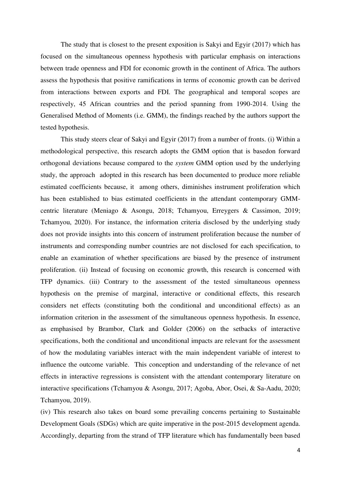The study that is closest to the present exposition is Sakyi and Egyir (2017) which has focused on the simultaneous openness hypothesis with particular emphasis on interactions between trade openness and FDI for economic growth in the continent of Africa. The authors assess the hypothesis that positive ramifications in terms of economic growth can be derived from interactions between exports and FDI. The geographical and temporal scopes are respectively, 45 African countries and the period spanning from 1990-2014. Using the Generalised Method of Moments (i.e. GMM), the findings reached by the authors support the tested hypothesis.

 This study steers clear of Sakyi and Egyir (2017) from a number of fronts. (i) Within a methodological perspective, this research adopts the GMM option that is basedon forward orthogonal deviations because compared to the *system* GMM option used by the underlying study, the approach adopted in this research has been documented to produce more reliable estimated coefficients because, it among others, diminishes instrument proliferation which has been established to bias estimated coefficients in the attendant contemporary GMMcentric literature (Meniago & Asongu, 2018; Tchamyou, Erreygers & Cassimon, 2019; Tchamyou, 2020). For instance, the information criteria disclosed by the underlying study does not provide insights into this concern of instrument proliferation because the number of instruments and corresponding number countries are not disclosed for each specification, to enable an examination of whether specifications are biased by the presence of instrument proliferation. (ii) Instead of focusing on economic growth, this research is concerned with TFP dynamics. (iii) Contrary to the assessment of the tested simultaneous openness hypothesis on the premise of marginal, interactive or conditional effects, this research considers net effects (constituting both the conditional and unconditional effects) as an information criterion in the assessment of the simultaneous openness hypothesis. In essence, as emphasised by Brambor, Clark and Golder (2006) on the setbacks of interactive specifications, both the conditional and unconditional impacts are relevant for the assessment of how the modulating variables interact with the main independent variable of interest to influence the outcome variable. This conception and understanding of the relevance of net effects in interactive regressions is consistent with the attendant contemporary literature on interactive specifications (Tchamyou & Asongu, 2017; Agoba, Abor, Osei, & Sa-Aadu, 2020; Tchamyou, 2019).

(iv) This research also takes on board some prevailing concerns pertaining to Sustainable Development Goals (SDGs) which are quite imperative in the post-2015 development agenda. Accordingly, departing from the strand of TFP literature which has fundamentally been based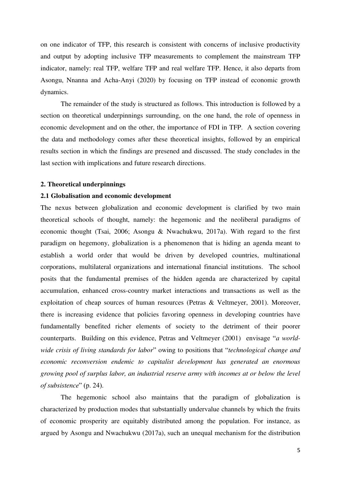on one indicator of TFP, this research is consistent with concerns of inclusive productivity and output by adopting inclusive TFP measurements to complement the mainstream TFP indicator, namely: real TFP, welfare TFP and real welfare TFP. Hence, it also departs from Asongu, Nnanna and Acha-Anyi (2020) by focusing on TFP instead of economic growth dynamics.

 The remainder of the study is structured as follows. This introduction is followed by a section on theoretical underpinnings surrounding, on the one hand, the role of openness in economic development and on the other, the importance of FDI in TFP. A section covering the data and methodology comes after these theoretical insights, followed by an empirical results section in which the findings are presened and discussed. The study concludes in the last section with implications and future research directions.

# **2. Theoretical underpinnings**

#### **2.1 Globalisation and economic development**

The nexus between globalization and economic development is clarified by two main theoretical schools of thought, namely: the hegemonic and the neoliberal paradigms of economic thought (Tsai, 2006; Asongu & Nwachukwu, 2017a). With regard to the first paradigm on hegemony, globalization is a phenomenon that is hiding an agenda meant to establish a world order that would be driven by developed countries, multinational corporations, multilateral organizations and international financial institutions. The school posits that the fundamental premises of the hidden agenda are characterized by capital accumulation, enhanced cross-country market interactions and transactions as well as the exploitation of cheap sources of human resources (Petras & Veltmeyer, 2001). Moreover, there is increasing evidence that policies favoring openness in developing countries have fundamentally benefited richer elements of society to the detriment of their poorer counterparts. Building on this evidence, Petras and Veltmeyer (2001) envisage "*a worldwide crisis of living standards for labor*" owing to positions that "*technological change and economic reconversion endemic to capitalist development has generated an enormous growing pool of surplus labor, an industrial reserve army with incomes at or below the level of subsistence*" (p. 24).

The hegemonic school also maintains that the paradigm of globalization is characterized by production modes that substantially undervalue channels by which the fruits of economic prosperity are equitably distributed among the population. For instance, as argued by Asongu and Nwachukwu (2017a), such an unequal mechanism for the distribution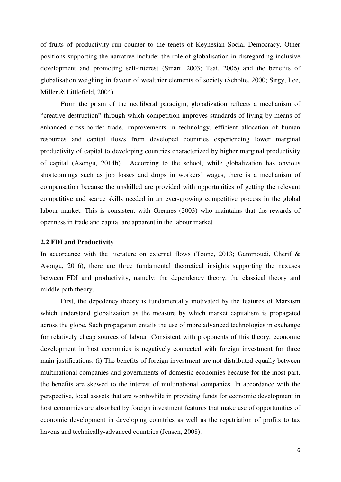of fruits of productivity run counter to the tenets of Keynesian Social Democracy. Other positions supporting the narrative include: the role of globalisation in disregarding inclusive development and promoting self-interest (Smart, 2003; Tsai, 2006) and the benefits of globalisation weighing in favour of wealthier elements of society (Scholte, 2000; Sirgy, Lee, Miller & Littlefield, 2004).

 From the prism of the neoliberal paradigm, globalization reflects a mechanism of "creative destruction" through which competition improves standards of living by means of enhanced cross-border trade, improvements in technology, efficient allocation of human resources and capital flows from developed countries experiencing lower marginal productivity of capital to developing countries characterized by higher marginal productivity of capital (Asongu, 2014b). According to the school, while globalization has obvious shortcomings such as job losses and drops in workers' wages, there is a mechanism of compensation because the unskilled are provided with opportunities of getting the relevant competitive and scarce skills needed in an ever-growing competitive process in the global labour market. This is consistent with Grennes (2003) who maintains that the rewards of openness in trade and capital are apparent in the labour market

# **2.2 FDI and Productivity**

In accordance with the literature on external flows (Toone, 2013; Gammoudi, Cherif & Asongu, 2016), there are three fundamental theoretical insights supporting the nexuses between FDI and productivity, namely: the dependency theory, the classical theory and middle path theory.

 First, the depedency theory is fundamentally motivated by the features of Marxism which understand globalization as the measure by which market capitalism is propagated across the globe. Such propagation entails the use of more advanced technologies in exchange for relatively cheap sources of labour. Consistent with proponents of this theory, economic development in host economies is negatively connected with foreign investment for three main justifications. (i) The benefits of foreign investment are not distributed equally between multinational companies and governments of domestic economies because for the most part, the benefits are skewed to the interest of multinational companies. In accordance with the perspective, local asssets that are worthwhile in providing funds for economic development in host economies are absorbed by foreign investment features that make use of opportunities of economic development in developing countries as well as the repatriation of profits to tax havens and technically-advanced countries (Jensen, 2008).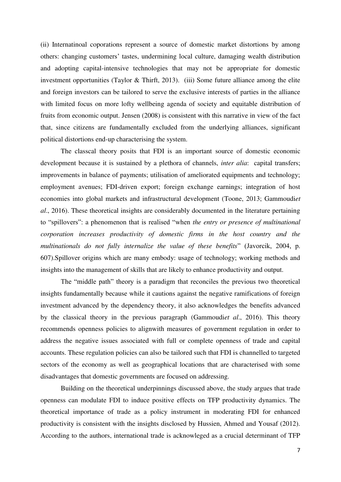(ii) Internatinoal coporations represent a source of domestic market distortions by among others: changing customers' tastes, undermining local culture, damaging wealth distribution and adopting capital-intensive technologies that may not be appropriate for domestic investment opportunities (Taylor & Thirft, 2013). (iii) Some future alliance among the elite and foreign investors can be tailored to serve the exclusive interests of parties in the alliance with limited focus on more lofty wellbeing agenda of society and equitable distribution of fruits from economic output. Jensen (2008) is consistent with this narrative in view of the fact that, since citizens are fundamentally excluded from the underlying alliances, significant political distortions end-up characterising the system.

 The classcal theory posits that FDI is an important source of domestic economic development because it is sustained by a plethora of channels, *inter alia*: capital transfers; improvements in balance of payments; utilisation of ameliorated equipments and technology; employment avenues; FDI-driven export; foreign exchange earnings; integration of host economies into global markets and infrastructural development (Toone, 2013; Gammoudi*et al*., 2016). These theoretical insights are considerably documented in the literature pertaining to "spillovers": a phenomenon that is realised "when *the entry or presence of multinational corporation increases productivity of domestic firms in the host country and the multinationals do not fully internalize the value of these benefits*" (Javorcik, 2004, p. 607).Spillover origins which are many embody: usage of technology; working methods and insights into the management of skills that are likely to enhance productivity and output.

The "middle path" theory is a paradigm that reconciles the previous two theoretical insights fundamentally because while it cautions against the negative ramifications of foreign investment advanced by the dependency theory, it also acknowledges the benefits advanced by the classical theory in the previous paragraph (Gammoudi*et al*., 2016). This theory recommends openness policies to alignwith measures of government regulation in order to address the negative issues associated with full or complete openness of trade and capital accounts. These regulation policies can also be tailored such that FDI is channelled to targeted sectors of the economy as well as geographical locations that are characterised with some disadvantages that domestic governments are focused on addressing.

Building on the theoretical underpinnings discussed above, the study argues that trade openness can modulate FDI to induce positive effects on TFP productivity dynamics. The theoretical importance of trade as a policy instrument in moderating FDI for enhanced productivity is consistent with the insights disclosed by Hussien, Ahmed and Yousaf (2012). According to the authors, international trade is acknowleged as a crucial determinant of TFP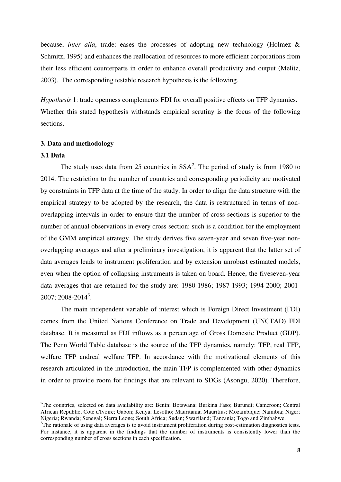because, *inter alia*, trade: eases the processes of adopting new technology (Holmez & Schmitz, 1995) and enhances the reallocation of resources to more efficient corporations from their less efficient counterparts in order to enhance overall productivity and output (Melitz, 2003). The corresponding testable research hypothesis is the following.

*Hypothesis* 1: trade openness complements FDI for overall positive effects on TFP dynamics. Whether this stated hypothesis withstands empirical scrutiny is the focus of the following sections.

# **3. Data and methodology**

#### **3.1 Data**

 $\overline{a}$ 

The study uses data from 25 countries in  $SSA<sup>2</sup>$ . The period of study is from 1980 to 2014. The restriction to the number of countries and corresponding periodicity are motivated by constraints in TFP data at the time of the study. In order to align the data structure with the empirical strategy to be adopted by the research, the data is restructured in terms of nonoverlapping intervals in order to ensure that the number of cross-sections is superior to the number of annual observations in every cross section: such is a condition for the employment of the GMM empirical strategy. The study derives five seven-year and seven five-year nonoverlapping averages and after a preliminary investigation, it is apparent that the latter set of data averages leads to instrument proliferation and by extension unrobust estimated models, even when the option of collapsing instruments is taken on board. Hence, the fiveseven-year data averages that are retained for the study are: 1980-1986; 1987-1993; 1994-2000; 2001- 2007; 2008-2014<sup>3</sup>.

 The main independent variable of interest which is Foreign Direct Investment (FDI) comes from the United Nations Conference on Trade and Development (UNCTAD) FDI database. It is measured as FDI inflows as a percentage of Gross Domestic Product (GDP). The Penn World Table database is the source of the TFP dynamics, namely: TFP, real TFP, welfare TFP andreal welfare TFP. In accordance with the motivational elements of this research articulated in the introduction, the main TFP is complemented with other dynamics in order to provide room for findings that are relevant to SDGs (Asongu, 2020). Therefore,

<sup>&</sup>lt;sup>2</sup>The countries, selected on data availability are: Benin; Botswana; Burkina Faso; Burundi; Cameroon; Central African Republic; Cote d'Ivoire; Gabon; Kenya; Lesotho; Mauritania; Mauritius; Mozambique; Namibia; Niger; Nigeria; Rwanda; Senegal; Sierra Leone; South Africa; Sudan; Swaziland; Tanzania; Togo and Zimbabwe.

<sup>&</sup>lt;sup>3</sup>The rationale of using data averages is to avoid instrument proliferation during post-estimation diagnostics tests. For instance, it is apparent in the findings that the number of instruments is consistently lower than the corresponding number of cross sections in each specification.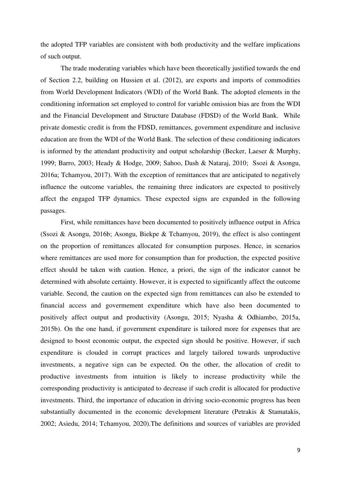the adopted TFP variables are consistent with both productivity and the welfare implications of such output.

The trade moderating variables which have been theoretically justified towards the end of Section 2.2, building on Hussien et al. (2012), are exports and imports of commodities from World Development Indicators (WDI) of the World Bank. The adopted elements in the conditioning information set employed to control for variable omission bias are from the WDI and the Financial Development and Structure Database (FDSD) of the World Bank. While private domestic credit is from the FDSD, remittances, government expenditure and inclusive education are from the WDI of the World Bank. The selection of these conditioning indicators is informed by the attendant productivity and output scholarship (Becker, Laeser  $\&$  Murphy, 1999; Barro, 2003; Heady & Hodge, 2009; Sahoo, Dash & Nataraj, 2010; Ssozi & Asongu, 2016a; Tchamyou, 2017). With the exception of remittances that are anticipated to negatively influence the outcome variables, the remaining three indicators are expected to positively affect the engaged TFP dynamics. These expected signs are expanded in the following passages.

First, while remittances have been documented to positively influence output in Africa (Ssozi & Asongu, 2016b; Asongu, Biekpe & Tchamyou, 2019), the effect is also contingent on the proportion of remittances allocated for consumption purposes. Hence, in scenarios where remittances are used more for consumption than for production, the expected positive effect should be taken with caution. Hence, a priori, the sign of the indicator cannot be determined with absolute certainty. However, it is expected to significantly affect the outcome variable. Second, the caution on the expected sign from remittances can also be extended to financial access and govermement expenditure which have also been documented to positively affect output and productivity (Asongu, 2015; Nyasha & Odhiambo, 2015a, 2015b). On the one hand, if government expenditure is tailored more for expenses that are designed to boost economic output, the expected sign should be positive. However, if such expenditure is clouded in corrupt practices and largely tailored towards unproductive investments, a negative sign can be expected. On the other, the allocation of credit to productive investments from intuition is likely to increase productivity while the corresponding productivity is anticipated to decrease if such credit is allocated for productive investments. Third, the importance of education in driving socio-economic progress has been substantially documented in the economic development literature (Petrakis & Stamatakis, 2002; Asiedu, 2014; Tchamyou, 2020).The definitions and sources of variables are provided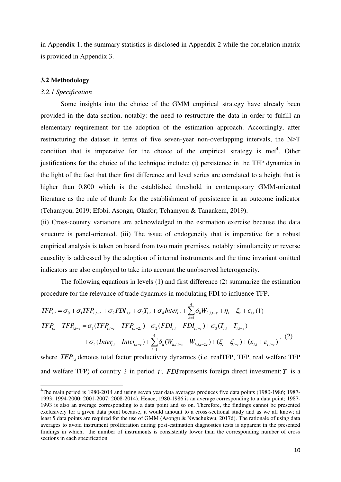in Appendix 1, the summary statistics is disclosed in Appendix 2 while the correlation matrix is provided in Appendix 3.

# **3.2 Methodology**

# *3.2.1 Specification*

 $\overline{a}$ 

 Some insights into the choice of the GMM empirical strategy have already been provided in the data section, notably: the need to restructure the data in order to fulfill an elementary requirement for the adoption of the estimation approach. Accordingly, after restructuring the dataset in terms of five seven-year non-overlapping intervals, the N>T condition that is imperative for the choice of the empirical strategy is met<sup>4</sup>. Other justifications for the choice of the technique include: (i) persistence in the TFP dynamics in the light of the fact that their first difference and level series are correlated to a height that is higher than 0.800 which is the established threshold in contemporary GMM-oriented literature as the rule of thumb for the establishment of persistence in an outcome indicator (Tchamyou, 2019; Efobi, Asongu, Okafor; Tchamyou & Tanankem, 2019).

(ii) Cross-country variations are acknowledged in the estimation exercise because the data structure is panel-oriented. (iii) The issue of endogeneity that is imperative for a robust empirical analysis is taken on board from two main premises, notably: simultaneity or reverse causality is addressed by the adoption of internal instruments and the time invariant omitted indicators are also employed to take into account the unobserved heterogeneity.

The following equations in levels (1) and first difference (2) summarize the estimation procedure for the relevance of trade dynamics in modulating FDI to influence TFP.

$$
TFP_{i,t} = \sigma_0 + \sigma_1 TFP_{i,t-\tau} + \sigma_2 FDI_{i,t} + \sigma_3 T_{i,t} + \sigma_4 Inter_{i,t} + \sum_{h=1}^4 \delta_h W_{h,i,t-\tau} + \eta_i + \xi_t + \varepsilon_{i,t} (1)
$$
  
\n
$$
TFP_{i,t} - TFP_{i,t-\tau} = \sigma_1 (TFP_{i,t-\tau} - TFP_{i,t-2\tau}) + \sigma_2 (FDI_{i,t} - FDI_{i,t-\tau}) + \sigma_3 (T_{i,t} - T_{i,t-\tau})
$$
  
\n
$$
+ \sigma_4 (Inter_{i,t} - Inter_{i,t-\tau}) + \sum_{h=1}^4 \delta_h (W_{h,i,t-\tau} - W_{h,i,t-2\tau}) + (\xi_t - \xi_{t-\tau}) + (\varepsilon_{i,t} + \varepsilon_{i,t-\tau})
$$
, (2)

where *TFP<sub>it</sub>* denotes total factor productivity dynamics (i.e. realTFP, TFP, real welfare TFP and welfare TFP) of country  $i$  in period  $t$ ; *FDI* represents foreign direct investment;  $T$  is a

<sup>4</sup>The main period is 1980-2014 and using seven year data averages produces five data points (1980-1986; 1987- 1993; 1994-2000; 2001-2007; 2008-2014). Hence, 1980-1986 is an average corresponding to a data point; 1987- 1993 is also an average corresponding to a data point and so on. Therefore, the findings cannot be presented exclusively for a given data point because, it would amount to a cross-sectional study and as we all know; at least 5 data points are required for the use of GMM (Asongu & Nwachukwu, 2017d). The rationale of using data averages to avoid instrument proliferation during post-estimation diagnostics tests is apparent in the presented findings in which, the number of instruments is consistently lower than the corresponding number of cross sections in each specification.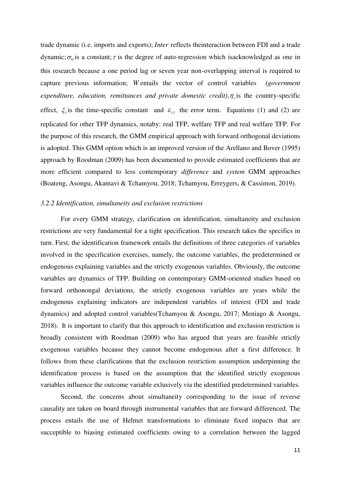trade dynamic (i.e. imports and exports); *Inter* reflects theinteraction between FDI and a trade dynamic;  $\sigma_0$  is a constant;  $\tau$  is the degree of auto-regression which isacknowledged as one in this research because a one period lag or seven year non-overlapping interval is required to capture previous information; *W* entails the vector of control variables (*government expenditure, education, remittances and private domestic credit),*  $\eta_i$  *is the country-specific* effect,  $\xi$  is the time-specific constant and  $\varepsilon$ <sub>i,t</sub> the error term. Equations (1) and (2) are replicated for other TFP dynamics, notaby: real TFP, welfare TFP and real welfare TFP. For the purpose of this research, the GMM empirical approach with forward orthogonal deviations is adopted. This GMM option which is an improved version of the Arellano and Bover (1995) approach by Roodman (2009) has been documented to provide estimated coefficients that are more efficient compared to less contemporary *difference* and *system* GMM approaches (Boateng, Asongu, Akamavi & Tchamyou, 2018; Tchamyou, Erreygers, & Cassimon, 2019).

# *3.2.2 Identification, simultaneity and exclusion restrictions*

 For every GMM strategy, clarification on identification, simultaneity and exclusion restrictions are very fundamental for a tight specification. This research takes the specifics in turn. First, the identification framework entails the definitions of three categories of variables involved in the specification exercises, namely, the outcome variables, the predetermined or endogenous explaining variables and the strictly exogenous variables. Obviously, the outcome variables are dynamics of TFP. Building on contemporary GMM-oriented studies based on forward orthonongal deviations, the strictly exogenous variables are years while the endogenous explaining indicators are independent variables of interest (FDI and trade dynamics) and adopted control variables(Tchamyou & Asongu, 2017; Meniago & Asongu, 2018). It is important to clarify that this approach to identification and exclusion restriction is broadly consistent with Roodman (2009) who has argued that years are feasible strictly exogenous variables because they cannot become endogenous after a first difference. It follows from these clarifications that the exclusion restriction assumption underpinning the identification process is based on the assumption that the identified strictly exogenous variables influence the outcome variable exlusively via the identified predetermined variables.

Second, the concerns about simultaneity corresponding to the issue of reverse causality are taken on board through instrumental variables that are forward differenced. The process entails the use of Helmet transformations to eliminate fixed impacts that are succeptible to biasing estimated coefficients owing to a correlation between the lagged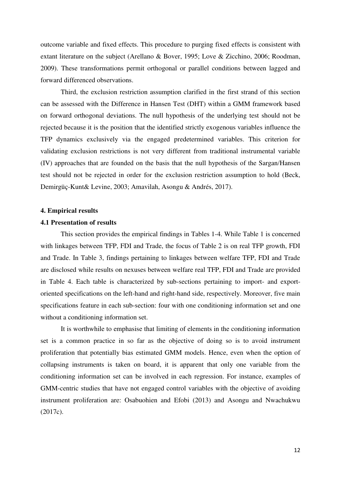outcome variable and fixed effects. This procedure to purging fixed effects is consistent with extant literature on the subject (Arellano & Bover, 1995; Love & Zicchino, 2006; Roodman, 2009). These transformations permit orthogonal or parallel conditions between lagged and forward differenced observations.

 Third, the exclusion restriction assumption clarified in the first strand of this section can be assessed with the Difference in Hansen Test (DHT) within a GMM framework based on forward orthogonal deviations. The null hypothesis of the underlying test should not be rejected because it is the position that the identified strictly exogenous variables influence the TFP dynamics exclusively via the engaged predetermined variables. This criterion for validating exclusion restrictions is not very different from traditional instrumental variable (IV) approaches that are founded on the basis that the null hypothesis of the Sargan/Hansen test should not be rejected in order for the exclusion restriction assumption to hold (Beck, Demirgüç-Kunt& Levine, 2003; Amavilah, Asongu & Andrés, 2017).

#### **4. Empirical results**

# **4.1 Presentation of results**

 This section provides the empirical findings in Tables 1-4. While Table 1 is concerned with linkages between TFP, FDI and Trade, the focus of Table 2 is on real TFP growth, FDI and Trade. In Table 3, findings pertaining to linkages between welfare TFP, FDI and Trade are disclosed while results on nexuses between welfare real TFP, FDI and Trade are provided in Table 4. Each table is characterized by sub-sections pertaining to import- and exportoriented specifications on the left-hand and right-hand side, respectively. Moreover, five main specifications feature in each sub-section: four with one conditioning information set and one without a conditioning information set.

It is worthwhile to emphasise that limiting of elements in the conditioning information set is a common practice in so far as the objective of doing so is to avoid instrument proliferation that potentially bias estimated GMM models. Hence, even when the option of collapsing instruments is taken on board, it is apparent that only one variable from the conditioning information set can be involved in each regression. For instance, examples of GMM-centric studies that have not engaged control variables with the objective of avoiding instrument proliferation are: Osabuohien and Efobi (2013) and Asongu and Nwachukwu (2017c).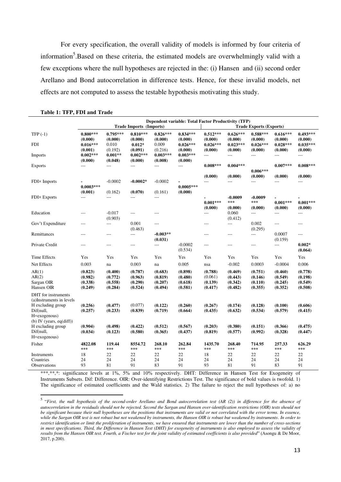For every specification, the overall validity of models is informed by four criteria of information<sup>5</sup>. Based on these criteria, the estimated models are overwhelmingly valid with a few exceptions where the null hypotheses are rejected in the: (i) Hansen and (ii) second order Arellano and Bond autocorrelation in difference tests. Hence, for these invalid models, net effects are not computed to assess the testable hypothesis motivating this study.

|                                                                                                                                |                                          |                                          |                                          |                                          | Dependent variable: Total Factor Productivity (TFP) |                                          |                                          |                                          |                                          |                                          |
|--------------------------------------------------------------------------------------------------------------------------------|------------------------------------------|------------------------------------------|------------------------------------------|------------------------------------------|-----------------------------------------------------|------------------------------------------|------------------------------------------|------------------------------------------|------------------------------------------|------------------------------------------|
|                                                                                                                                |                                          |                                          | Trade Imports (Imports)                  |                                          |                                                     |                                          |                                          | <b>Trade Exports (Exports)</b>           |                                          |                                          |
| TFP $(-1)$                                                                                                                     | $0.800***$<br>(0.000)                    | $0.795***$<br>(0.000)                    | $0.810***$<br>(0.000)                    | $0.826***$<br>(0.000)                    | $0.834***$<br>(0.000)                               | $0.512***$<br>(0.000)                    | $0.626***$<br>(0.000)                    | $0.588***$<br>(0.000)                    | $0.616***$<br>(0.000)                    | $0.493***$<br>(0.000)                    |
| <b>FDI</b>                                                                                                                     | $0.016***$<br>(0.001)                    | 0.010<br>(0.192)                         | $0.012*$<br>(0.091)                      | 0.009<br>(0.216)                         | $0.026***$<br>(0.000)                               | $0.026***$<br>(0.000)                    | $0.023***$<br>(0.000)                    | $0.026***$<br>(0.000)                    | $0.028***$<br>(0.000)                    | $0.035***$<br>(0.000)                    |
| Imports                                                                                                                        | $0.002***$<br>(0.000)                    | $0.001**$<br>(0.048)                     | $0.002***$<br>(0.000)                    | $0.003***$<br>(0.008)                    | $0.003***$<br>(0.000)                               | $\overline{a}$                           | ---                                      | $\overline{a}$                           | $\overline{a}$                           | $\overline{a}$                           |
| <b>Exports</b>                                                                                                                 | ---                                      | ---                                      | ---                                      | ---                                      | ---                                                 | $0.008***$                               | $0.004***$                               |                                          | $0.007***$                               | $0.008***$                               |
|                                                                                                                                |                                          |                                          |                                          |                                          |                                                     | (0.000)                                  | (0.000)                                  | $0.006***$<br>(0.000)                    | (0.000)                                  | (0.000)                                  |
| FDI× Imports                                                                                                                   |                                          | $-0.0002$                                | $-0.0002*$                               | $-0.0002$                                |                                                     | $---$                                    | ---                                      | ---                                      | $\overline{a}$                           | ---                                      |
|                                                                                                                                | $0.0003***$                              |                                          |                                          |                                          | $0.0005***$                                         |                                          |                                          |                                          |                                          |                                          |
| <b>FDI</b> × Exports                                                                                                           | (0.001)<br>$\overline{a}$                | (0.162)<br>$---$                         | (0.070)<br>---                           | (0.161)<br>$\overline{a}$                | (0.000)                                             |                                          | $-0.0009$                                | $-0.0009$                                |                                          |                                          |
|                                                                                                                                |                                          |                                          |                                          |                                          |                                                     | $0.001***$                               | ***                                      | ***                                      | $0.001***$                               | $0.001***$                               |
|                                                                                                                                |                                          |                                          |                                          |                                          |                                                     | (0.000)                                  | (0.000)                                  | (0.000)                                  | (0.000)                                  | (0.000)                                  |
| Education                                                                                                                      | $---$                                    | $-0.017$<br>(0.903)                      | $---$                                    | $-$ --                                   |                                                     | $---$                                    | 0.060<br>(0.412)                         | ---                                      | ---                                      | $\overline{a}$                           |
| Gov't Expenditure                                                                                                              | $---$                                    | $\overline{a}$                           | 0.001<br>(0.463)                         | $---$                                    |                                                     | $---$                                    | $\overline{a}$                           | 0.002<br>(0.295)                         | $\overline{a}$                           | $---$                                    |
| Remittances                                                                                                                    | ---                                      | $---$                                    | $---$                                    | $-0.003**$<br>(0.031)                    |                                                     | $---$                                    | ---                                      | $\overline{a}$                           | 0.0007<br>(0.159)                        | $\overline{a}$                           |
| Private Credit                                                                                                                 | $---$                                    | $---$                                    | $---$                                    | ---                                      | $-0.0002$<br>(0.534)                                | ---                                      | ---                                      | $\overline{\phantom{a}}$                 | $\overline{a}$                           | $0.002*$<br>(0.064)                      |
| Time Effects                                                                                                                   | Yes                                      | Yes                                      | Yes                                      | Yes                                      | Yes                                                 | Yes                                      | Yes                                      | Yes                                      | Yes                                      | Yes                                      |
| Net Effects                                                                                                                    | 0.003                                    | na                                       | 0.003                                    | na                                       | 0.005                                               | nsa                                      | $-0.002$                                 | 0.0003                                   | $-0.0004$                                | 0.006                                    |
| AR(1)<br>AR(2)<br>Sargan OIR<br>Hansen OIR                                                                                     | (0.823)<br>(0.982)<br>(0.338)<br>(0.249) | (0.400)<br>(0.772)<br>(0.558)<br>(0.284) | (0.787)<br>(0.963)<br>(0.290)<br>(0.524) | (0.683)<br>(0.819)<br>(0.207)<br>(0.494) | (0.898)<br>(0.480)<br>(0.618)<br>(0.581)            | (0.788)<br>(0.061)<br>(0.139)<br>(0.417) | (0.469)<br>(0.443)<br>(0.342)<br>(0.482) | (0.751)<br>(0.146)<br>(0.110)<br>(0.355) | (0.460)<br>(0.549)<br>(0.245)<br>(0.352) | (0.778)<br>(0.198)<br>(0.549)<br>(0.508) |
| DHT for instruments<br>(a) Instruments in levels<br>H excluding group<br>Dif(null,<br>H=exogenous)<br>(b) IV (years, eq(diff)) | (0.256)<br>(0.257)                       | (0.477)<br>(0.233)                       | (0.077)<br>(0.839)                       | (0.122)<br>(0.719)                       | (0.260)<br>(0.664)                                  | (0.267)<br>(0.435)                       | (0.174)<br>(0.632)                       | (0.128)<br>(0.534)                       | (0.100)<br>(0.579)                       | (0.606)<br>(0.415)                       |
| H excluding group<br>Dif(null,<br>H=exogenous)                                                                                 | (0.904)<br>(0.034)                       | (0.498)<br>(0.123)                       | (0.422)<br>(0.580)                       | (0.512)<br>(0.365)                       | (0.567)<br>(0.437)                                  | (0.203)<br>(0.819)                       | (0.380)<br>(0.577)                       | (0.151)<br>(0.992)                       | (0.366)<br>(0.328)                       | (0.475)<br>(0.447)                       |
| Fisher                                                                                                                         | 4822.08<br>***                           | 119.44<br>***                            | 8554.72<br>***                           | 268.10<br>***                            | 262.84<br>***                                       | 1435.70<br>$***$                         | 268.40<br>***                            | 714.95<br>***                            | 257.33<br>***                            | 626.29<br>***                            |
| Instruments                                                                                                                    | 18                                       | 22                                       | 22                                       | 22                                       | 22                                                  | 18                                       | 22                                       | 22                                       | 22                                       | 22                                       |
| Countries<br>Observations                                                                                                      | 24<br>93                                 | 24<br>81                                 | 24<br>91                                 | 24<br>83                                 | 24<br>91                                            | 24<br>93                                 | 24<br>81                                 | 24<br>91                                 | 24<br>83                                 | 24<br>91                                 |
|                                                                                                                                |                                          |                                          |                                          |                                          |                                                     |                                          |                                          |                                          |                                          |                                          |

#### **Table 1: TFP, FDI and Trade**

 $\overline{a}$ 

\*\*\*\*\*\*; significance levels at 1%, 5% and 10% respectively. DHT: Difference in Hansen Test for Exogeneity of Instruments Subsets. Dif: Difference. OIR: Over-identifying Restrictions Test. The significance of bold values is twofold. 1) The significance of estimated coefficients and the Wald statistics. 2) The failure to reject the null hypotheses of: a) no

<sup>&</sup>lt;sup>5</sup> "First, the null hypothesis of the second-order Arellano and Bond autocorrelation test (AR (2)) in difference for the absence of *autocorrelation in the residuals should not be rejected. Second the Sargan and Hansen over-identification restrictions (OIR) tests should not be significant because their null hypotheses are the positions that instruments are valid or not correlated with the error terms. In essence, while the Sargan OIR test is not robust but not weakened by instruments, the Hansen OIR is robust but weakened by instruments. In order to restrict identification or limit the proliferation of instruments, we have ensured that instruments are lower than the number of cross-sections*  in most specifications. Third, the Difference in Hansen Test (DHT) for exogeneity of instruments is also employed to assess the validity of *results from the Hansen OIR test. Fourth, a Fischer test for the joint validity of estimated coefficients is also provided*" (Asongu & De Moor, 2017, p.200).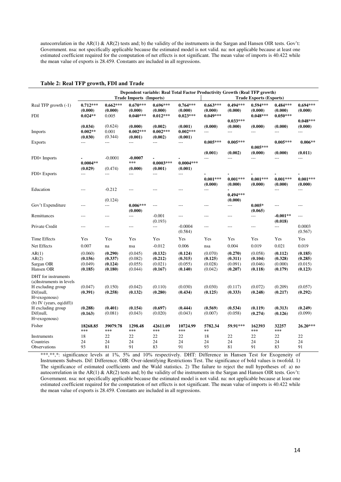autocorrelation in the AR(1) & AR(2) tests and; b) the validity of the instruments in the Sargan and Hansen OIR tests. Gov't: Government. nsa: not specifically applicable because the estimated model is not valid. na: not applicable because at least one estimated coefficient required for the computation of net effects is not significant. The mean value of imports is 40.422 while the mean value of exports is 28.459. Constants are included in all regressions.

| Dependent variable: Real Total Factor Productivity Growth (Real TFP growth)<br><b>Trade Imports (Imports)</b><br><b>Trade Exports (Exports)</b> |                               |                               |                                 |                               |                               |                               |                                  |                                 |                               |                               |
|-------------------------------------------------------------------------------------------------------------------------------------------------|-------------------------------|-------------------------------|---------------------------------|-------------------------------|-------------------------------|-------------------------------|----------------------------------|---------------------------------|-------------------------------|-------------------------------|
| Real TFP growth (-1)                                                                                                                            | $0.712***$<br>(0.000)         | $0.662***$<br>(0.000)         | $0.670***$<br>(0.000)           | $0.696***$<br>(0.000)         | $0.764***$<br>(0.000)         | $0.663***$<br>(0.000)         | $0.494***$<br>(0.000)            | $0.594***$<br>(0.000)           | $0.484***$<br>(0.000)         | $0.694***$<br>(0.000)         |
| <b>FDI</b>                                                                                                                                      | $0.024**$                     | 0.005                         | $0.040***$                      | $0.012***$                    | $0.023***$                    | $0.049***$                    | $0.033***$                       | $0.048***$                      | $0.050***$                    | $0.048***$                    |
|                                                                                                                                                 | (0.034)                       | (0.624)                       | (0.000)                         | (0.002)                       | (0.001)                       | (0.000)                       | (0.000)                          | (0.000)                         | (0.000)                       | (0.000)                       |
| Imports                                                                                                                                         | $0.002**$<br>(0.030)          | 0.001<br>(0.344)              | $0.002***$<br>(0.001)           | $0.002***$<br>(0.002)         | $0.002***$<br>(0.001)         | ---                           | $\overline{a}$                   | $\overline{a}$                  | ---                           | ---                           |
| <b>Exports</b>                                                                                                                                  | $---$                         | $\overline{a}$                | $\overline{a}$                  | $\overline{\phantom{a}}$      | ---                           | $0.005***$                    | $0.005***$                       | $0.005***$                      | $0.005***$                    | $0.006**$                     |
| FDI× Imports                                                                                                                                    |                               | $-0.0001$                     | $-0.0007$                       |                               |                               | (0.001)<br>$---$              | (0.002)<br>$---$                 | (0.000)<br>$---$                | (0.000)<br>$---$              | (0.011)<br>$\overline{a}$     |
|                                                                                                                                                 | $0.0004**$<br>(0.029)         | (0.474)                       | ***<br>(0.000)                  | $0.0003***$<br>(0.001)        | $0.0004***$<br>(0.001)        |                               |                                  |                                 |                               |                               |
| <b>FDI</b> × Exports                                                                                                                            | ---                           | $\overline{a}$                | $---$                           | ---                           | $---$                         |                               |                                  |                                 |                               |                               |
|                                                                                                                                                 |                               |                               |                                 |                               |                               | $0.001***$<br>(0.000)         | $0.001***$<br>(0.000)            | $0.001***$<br>(0.000)           | $0.001***$<br>(0.000)         | $0.001***$<br>(0.000)         |
| Education                                                                                                                                       | ---                           | $-0.212$                      | $---$                           | $---$                         | ---                           | ---                           | $0.494***$                       |                                 | ---                           | ---                           |
| Gov't Expenditure                                                                                                                               | $---$                         | (0.124)<br>$---$              | $0.006***$                      | $---$                         | $\overline{a}$                | $---$                         | (0.000)<br>$\scriptstyle \cdots$ | $0.005*$                        | $\overline{a}$                | $\scriptstyle\cdots$          |
| Remittances                                                                                                                                     | $---$                         | $\qquad \qquad -$             | (0.000)<br>$\scriptstyle\cdots$ | $-0.001$<br>(0.193)           | $---$                         | ---                           | $\qquad \qquad - -$              | (0.065)<br>$\scriptstyle\cdots$ | $-0.001**$<br>(0.018)         | $\scriptstyle\cdots$          |
| Private Credit                                                                                                                                  | ---                           | $---$                         | $\qquad \qquad -$               | $\overline{a}$                | $-0.0004$<br>(0.584)          | ---                           | $---$                            | $\qquad \qquad - -$             | $\overline{a}$                | 0.0003<br>(0.567)             |
| Time Effects                                                                                                                                    | Yes                           | Yes                           | Yes                             | Yes                           | Yes                           | Yes                           | Yes                              | Yes                             | Yes                           | Yes                           |
| Net Effects                                                                                                                                     | 0.007                         | na                            | nsa                             | $-0.012$                      | 0.006                         | nsa                           | 0.004                            | 0.019                           | 0.021                         | 0.019                         |
| AR(1)<br>AR(2)<br>Sargan OIR                                                                                                                    | (0.060)<br>(0.156)<br>(0.049) | (0.290)<br>(0.337)<br>(0.124) | (0.045)<br>(0.082)<br>(0.055)   | (0.132)<br>(0.212)<br>(0.021) | (0.124)<br>(0.315)<br>(0.055) | (0.070)<br>(0.125)<br>(0.028) | (0.270)<br>(0.311)<br>(0.091)    | (0.058)<br>(0.104)<br>(0.046)   | (0.112)<br>(0.328)<br>(0.000) | (0.185)<br>(0.285)<br>(0.015) |
| Hansen OIR                                                                                                                                      | (0.185)                       | (0.180)                       | (0.044)                         | (0.167)                       | (0.140)                       | (0.042)                       | (0.207)                          | (0.118)                         | (0.179)                       | (0.123)                       |
| DHT for instruments<br>(a)Instruments in levels<br>H excluding group<br>Dif(null,<br>H=exogenous)                                               | (0.047)<br>(0.391)            | (0.150)<br>(0.258)            | (0.042)<br>(0.132)              | (0.110)<br>(0.280)            | (0.030)<br>(0.434)            | (0.030)<br>(0.125)            | (0.117)<br>(0.333)               | (0.072)<br>(0.248)              | (0.209)<br>(0.217)            | (0.057)<br>(0.292)            |
| (b) IV (years, $eq(diff)$ )<br>H excluding group<br>Dif(null,<br>H=exogenous)                                                                   | (0.288)<br>(0.163)            | (0.401)<br>(0.081)            | (0.154)<br>(0.043)              | (0.697)<br>(0.020)            | (0.444)<br>(0.043)            | (0.569)<br>(0.007)            | (0.534)<br>(0.058)               | (0.119)<br>(0.274)              | (0.313)<br>(0.126)            | (0.249)<br>(0.099)            |
| Fisher                                                                                                                                          | 18268.85<br>***               | 39079.78<br>$***$             | 1298.48<br>***                  | 42611.09<br>***               | 10724.99<br>***               | 5782.34<br>$\pm\pm$           | 59.91***                         | 162393<br>$***$                 | 32257<br>***                  | $26.20***$                    |
| Instruments                                                                                                                                     | 18                            | 22                            | 22                              | 22                            | 22                            | 18                            | 22                               | 22                              | 22                            | 22                            |
| Countries<br>Observations                                                                                                                       | 24<br>93                      | 24<br>81                      | 24<br>91                        | 24<br>83                      | 24<br>91                      | 24<br>93                      | 24<br>81                         | 24<br>91                        | 24<br>83                      | 24<br>91                      |

#### **Table 2: Real TFP growth, FDI and Trade**

\*\*\*,\*\*,\*: significance levels at 1%, 5% and 10% respectively. DHT: Difference in Hansen Test for Exogeneity of Instruments Subsets. Dif: Difference. OIR: Over-identifying Restrictions Test. The significance of bold values is twofold. 1) The significance of estimated coefficients and the Wald statistics. 2) The failure to reject the null hypotheses of: a) no autocorrelation in the AR(1) & AR(2) tests and; b) the validity of the instruments in the Sargan and Hansen OIR tests. Gov't: Government. nsa: not specifically applicable because the estimated model is not valid. na: not applicable because at least one estimated coefficient required for the computation of net effects is not significant. The mean value of imports is 40.422 while the mean value of exports is 28.459. Constants are included in all regressions.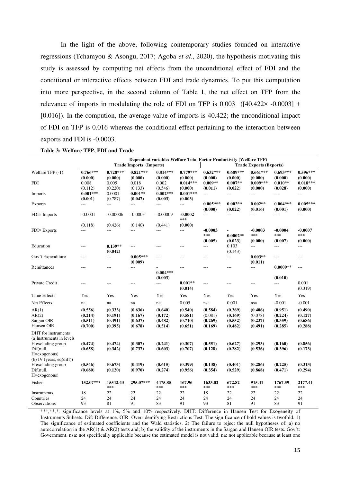In the light of the above, following contemporary studies founded on interactive regressions (Tchamyou & Asongu, 2017; Agoba *et al*., 2020), the hypothesis motivating this study is assessed by computing net effects from the unconditional effect of FDI and the conditional or interactive effects between FDI and trade dynamics. To put this computation into more perspective, in the second column of Table 1, the net effect on TFP from the relevance of imports in modulating the role of FDI on TFP is  $0.003$  ([40.422 $\times$  -0.0003] + [0.016]). In the compution, the average value of imports is 40.422; the unconditional impact of FDI on TFP is 0.016 whereas the conditional effect pertaining to the interaction between exports and FDI is -0.0003.

|                                                                                                                                  |                                          |                                          | Dependent variable: Welfare Total Factor Productivity (Welfare TFP)<br><b>Trade Imports (Imports)</b> |                                          |                                          |                                          |                                          | <b>Trade Exports (Exports)</b>           |                                          |                                          |
|----------------------------------------------------------------------------------------------------------------------------------|------------------------------------------|------------------------------------------|-------------------------------------------------------------------------------------------------------|------------------------------------------|------------------------------------------|------------------------------------------|------------------------------------------|------------------------------------------|------------------------------------------|------------------------------------------|
| Welfare TFP (-1)                                                                                                                 | $0.766***$<br>(0.000)                    | $0.728***$<br>(0.000)                    | $0.821***$<br>(0.000)                                                                                 | $0.814***$<br>(0.000)                    | $0.779***$<br>(0.000)                    | $0.632***$<br>(0.000)                    | $0.689***$<br>(0.000)                    | $0.661***$<br>(0.000)                    | $0.693***$<br>(0.000)                    | $0.596***$<br>(0.000)                    |
| <b>FDI</b>                                                                                                                       | 0.008<br>(0.112)                         | 0.005<br>(0.220)                         | 0.018<br>(0.133)                                                                                      | 0.002<br>(0.546)                         | $0.014***$<br>(0.000)                    | $0.009**$<br>(0.011)                     | $0.007**$<br>(0.022)                     | $0.009***$<br>(0.000)                    | $0.010**$<br>(0.028)                     | $0.018***$<br>(0.000)                    |
| Imports                                                                                                                          | $0.001***$<br>(0.001)                    | 0.0001<br>(0.787)                        | $0.001**$<br>(0.047)                                                                                  | $0.002***$<br>(0.003)                    | $0.001***$<br>(0.003)                    | $---$                                    | $\overline{a}$                           | $\sim$ $\sim$ $\sim$                     | $\overline{a}$                           | $---$                                    |
| <b>Exports</b>                                                                                                                   | ---                                      | ---                                      | ---                                                                                                   | $---$                                    | ---                                      | $0.005***$<br>(0.000)                    | $0.002**$<br>(0.022)                     | $0.002**$<br>(0.016)                     | $0.004***$<br>(0.001)                    | $0.005***$<br>(0.000)                    |
| FDI× Imports                                                                                                                     | $-0.0001$                                | $-0.00006$                               | $-0.0003$                                                                                             | $-0.00009$                               | $-0.0002$<br>***                         | $---$                                    | ---                                      | ---                                      | ---                                      | $---$                                    |
|                                                                                                                                  | (0.118)                                  | (0.426)                                  | (0.140)                                                                                               | (0.441)                                  | (0.000)                                  |                                          |                                          |                                          |                                          |                                          |
| <b>FDI</b> × Exports                                                                                                             | $---$                                    | $---$                                    | $---$                                                                                                 | $\overline{\phantom{a}}$                 | $\overline{a}$                           | $-0.0003$<br>$***$                       | $\blacksquare$<br>$0.0002**$             | $-0.0003$<br>***                         | $-0.0004$<br>***                         | $-0.0007$<br>***                         |
|                                                                                                                                  |                                          |                                          |                                                                                                       |                                          |                                          | (0.005)                                  | (0.023)                                  | (0.000)                                  | (0.007)                                  | (0.000)                                  |
| Education                                                                                                                        | ---                                      | $0.139**$<br>(0.042)                     | $---$                                                                                                 | $\overline{a}$                           | ---                                      | $---$                                    | 0.103<br>(0.143)                         | $\overline{a}$                           | ---                                      | ---                                      |
| Gov't Expenditure                                                                                                                | ---                                      | $\overline{a}$                           | $0.005***$<br>(0.009)                                                                                 | $\overline{\phantom{a}}$                 | ---                                      | $---$                                    | ---                                      | $0.003**$<br>(0.011)                     | ---                                      | ---                                      |
| Remittances                                                                                                                      | ---                                      | $---$                                    | $\overline{a}$                                                                                        | $0.004***$                               | ---                                      | $---$                                    | $---$                                    | $\overline{a}$                           | $0.0009**$                               | $\overline{a}$                           |
| Private Credit                                                                                                                   | $---$                                    | $---$                                    | ---                                                                                                   | (0.003)<br>---                           | $0.001**$<br>(0.014)                     | $---$                                    | $\overline{a}$                           | $---$                                    | (0.010)<br>---                           | 0.001<br>(0.319)                         |
| <b>Time Effects</b>                                                                                                              | Yes                                      | Yes                                      | Yes                                                                                                   | Yes                                      | Yes                                      | Yes                                      | Yes                                      | Yes                                      | Yes                                      | Yes                                      |
| Net Effects                                                                                                                      | na                                       | na                                       | na                                                                                                    | na                                       | 0.005                                    | nsa                                      | 0.001                                    | nsa                                      | $-0.001$                                 | $-0.001$                                 |
| AR(1)<br>AR(2)<br>Sargan OIR<br>Hansen OIR                                                                                       | (0.556)<br>(0.214)<br>(0.511)<br>(0.700) | (0.333)<br>(0.191)<br>(0.491)<br>(0.395) | (0.636)<br>(0.167)<br>(0.637)<br>(0.678)                                                              | (0.640)<br>(0.172)<br>(0.482)<br>(0.514) | (0.540)<br>(0.581)<br>(0.710)<br>(0.651) | (0.584)<br>(0.081)<br>(0.269)<br>(0.169) | (0.369)<br>(0.169)<br>(0.552)<br>(0.482) | (0.406)<br>(0.078)<br>(0.237)<br>(0.491) | (0.951)<br>(0.224)<br>(0.359)<br>(0.285) | (0.490)<br>(0.127)<br>(0.686)<br>(0.288) |
| DHT for instruments<br>(a)Instruments in levels<br>H excluding group<br>Dif(null,<br>H=exogenous)<br>(b) IV (years, $eq(diff)$ ) | (0.474)<br>(0.658)                       | (0.474)<br>(0.342)                       | (0.307)<br>(0.737)                                                                                    | (0.241)<br>(0.603)                       | (0.307)<br>(0.707)                       | (0.551)<br>(0.128)                       | (0.627)<br>(0.382)                       | (0.293)<br>(0.536)                       | (0.160)<br>(0.396)                       | (0.856)<br>(0.173)                       |
| H excluding group<br>Dif(null,<br>H=exogenous)                                                                                   | (0.546)<br>(0.680)                       | (0.673)<br>(0.120)                       | (0.419)<br>(0.970)                                                                                    | (0.615)<br>(0.274)                       | (0.399)<br>(0.956)                       | (0.138)<br>(0.354)                       | (0.401)<br>(0.529)                       | (0.286)<br>(0.868)                       | (0.225)<br>(0.471)                       | (0.313)<br>(0.294)                       |
| Fisher                                                                                                                           | 152.07***                                | 15542.43<br>***                          | 295.07***                                                                                             | 4475.85<br>***                           | 167.96<br>***                            | 1633.02<br>$***$                         | 672.82<br>***                            | 915.41<br>$***$                          | 1767.59<br>***                           | 2177.41<br>***                           |
| Instruments                                                                                                                      | 18                                       | 22                                       | 22                                                                                                    | 22                                       | 22                                       | 18                                       | 22                                       | 22                                       | 22                                       | 22                                       |
| Countries                                                                                                                        | 24                                       | 24                                       | 24                                                                                                    | 24                                       | 24                                       | 24                                       | 24                                       | 24                                       | 24                                       | 24                                       |
| Observations                                                                                                                     | 93                                       | 81                                       | 91                                                                                                    | 83                                       | 91                                       | 93                                       | 81                                       | 91                                       | 83                                       | 91                                       |

\*\*\*,\*\*,\*: significance levels at 1%, 5% and 10% respectively. DHT: Difference in Hansen Test for Exogeneity of Instruments Subsets. Dif: Difference. OIR: Over-identifying Restrictions Test. The significance of bold values is twofold. 1) The significance of estimated coefficients and the Wald statistics. 2) The failure to reject the null hypotheses of: a) no autocorrelation in the AR(1) & AR(2) tests and; b) the validity of the instruments in the Sargan and Hansen OIR tests. Gov't: Government. nsa: not specifically applicable because the estimated model is not valid. na: not applicable because at least one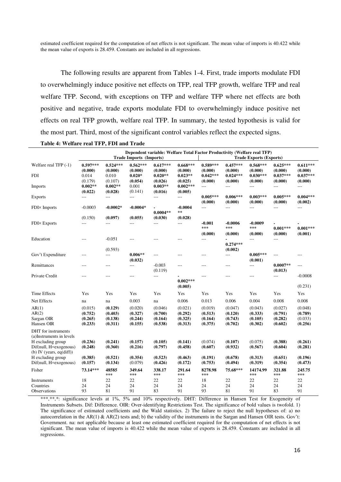estimated coefficient required for the computation of net effects is not significant. The mean value of imports is 40.422 while the mean value of exports is 28.459. Constants are included in all regressions.

The following results are apparent from Tables 1-4. First, trade imports modulate FDI to overwhelmingly induce positive net effects on TFP, real TFP growth, welfare TFP and real welfare TFP. Second, with exceptions on TFP and welfare TFP where net effects are both positive and negative, trade exports modulate FDI to overwhelmingly induce positive net effects on real TFP growth, welfare real TFP. In summary, the tested hypothesis is valid for the most part. Third, most of the significant control variables reflect the expected signs.

| Table 4: Welfare real TFP, FDI and Trade |  |  |  |
|------------------------------------------|--|--|--|
|------------------------------------------|--|--|--|

|                                                                                                                               |                                          |                                          | <b>Trade Imports (Imports)</b>           |                                          |                                          |                                          |                                          | Dependent variable: Welfare Total Factor Productivity (Welfare real TFP)<br><b>Trade Exports (Exports)</b> |                                          |                                          |
|-------------------------------------------------------------------------------------------------------------------------------|------------------------------------------|------------------------------------------|------------------------------------------|------------------------------------------|------------------------------------------|------------------------------------------|------------------------------------------|------------------------------------------------------------------------------------------------------------|------------------------------------------|------------------------------------------|
| Welfare real TFP (-1)                                                                                                         | $0.597***$<br>(0.000)                    | $0.524***$<br>(0.000)                    | $0.562***$<br>(0.000)                    | $0.617***$<br>(0.000)                    | $0.668***$<br>(0.000)                    | $0.589***$<br>(0.000)                    | $0.457***$<br>(0.000)                    | $0.568***$<br>(0.000)                                                                                      | $0.625***$<br>(0.000)                    | $0.611***$<br>(0.000)                    |
| <b>FDI</b>                                                                                                                    | 0.014<br>(0.179)                         | 0.010<br>(0.107)                         | $0.020*$<br>(0.054)                      | $0.020**$<br>(0.026)                     | $0.023**$<br>(0.025)                     | $0.042***$<br>(0.000)                    | $0.024***$<br>(0.000)                    | $0.030***$<br>(0.000)                                                                                      | $0.037***$<br>(0.000)                    | $0.037***$<br>(0.000)                    |
| Imports                                                                                                                       | $0.002**$<br>(0.022)                     | $0.002**$<br>(0.028)                     | 0.001<br>(0.141)                         | $0.003**$<br>(0.016)                     | $0.002***$<br>(0.005)                    | $\overline{a}$                           | $\overline{a}$                           | $---$                                                                                                      | ---                                      | $\cdots$                                 |
| <b>Exports</b>                                                                                                                | $\overline{a}$                           | $\overline{a}$                           | $\overline{a}$                           | ---                                      | ---                                      | $0.005***$<br>(0.000)                    | $0.006***$<br>(0.000)                    | $0.003***$<br>(0.000)                                                                                      | $0.005***$<br>(0.000)                    | $0.004***$<br>(0.002)                    |
| FDI× Imports                                                                                                                  | $-0.0003$                                | $-0.0002*$                               | $-0.0004*$                               | $0.0004**$                               | $-0.0004$<br>**                          | $---$                                    | $---$                                    | $---$                                                                                                      | $---$                                    | $---$                                    |
|                                                                                                                               | (0.150)                                  | (0.097)                                  | (0.055)                                  | (0.030)                                  | (0.028)                                  |                                          |                                          |                                                                                                            |                                          |                                          |
| <b>FDI</b> × Exports                                                                                                          | $\overline{a}$                           | ---                                      | ---                                      | ---                                      | ---                                      | $-0.001$<br>***                          | $-0.0006$<br>***                         | $-0.0009$<br>$***$                                                                                         | $0.001***$                               | $0.001***$                               |
|                                                                                                                               |                                          |                                          |                                          |                                          |                                          | (0.000)                                  | (0.000)                                  | (0.000)                                                                                                    | (0.000)                                  | (0.001)                                  |
| Education                                                                                                                     | $---$                                    | $-0.051$<br>(0.593)                      | $---$                                    | ---                                      | ---                                      | ---                                      | $0.274***$<br>(0.002)                    | $---$                                                                                                      | $---$                                    |                                          |
| Gov't Expenditure                                                                                                             | ---                                      | $\cdots$                                 | $0.006**$<br>(0.032)                     | $---$                                    | $---$                                    | ---                                      | $\overline{a}$                           | $0.005***$<br>(0.001)                                                                                      | ---                                      | ---                                      |
| Remittances                                                                                                                   | $---$                                    | $---$                                    | $---$                                    | $-0.003$<br>(0.119)                      | ---                                      | ---                                      | $\qquad \qquad - -$                      | $\sim$ $\sim$                                                                                              | $0.0007**$<br>(0.013)                    | ---                                      |
| Private Credit                                                                                                                | $---$                                    | ---                                      | ---                                      | ---                                      | $0.002***$<br>(0.005)                    | ---                                      | $---$                                    | $---$                                                                                                      | $---$                                    | $-0.0008$<br>(0.231)                     |
| Time Effects                                                                                                                  | Yes                                      | Yes                                      | Yes                                      | Yes                                      | Yes                                      | Yes                                      | Yes                                      | Yes                                                                                                        | Yes                                      | Yes                                      |
| Net Effects                                                                                                                   | na                                       | na                                       | 0.003                                    | na                                       | 0.006                                    | 0.013                                    | 0.006                                    | 0.004                                                                                                      | 0.008                                    | 0.008                                    |
| AR(1)<br>AR(2)<br>Sargan OIR<br>Hansen OIR                                                                                    | (0.015)<br>(0.752)<br>(0.265)<br>(0.233) | (0.129)<br>(0.403)<br>(0.138)<br>(0.311) | (0.020)<br>(0.327)<br>(0.244)<br>(0.155) | (0.046)<br>(0.700)<br>(0.164)<br>(0.538) | (0.021)<br>(0.292)<br>(0.325)<br>(0.313) | (0.019)<br>(0.513)<br>(0.164)<br>(0.375) | (0.047)<br>(0.120)<br>(0.743)<br>(0.702) | (0.043)<br>(0.333)<br>(0.105)<br>(0.302)                                                                   | (0.027)<br>(0.791)<br>(0.282)<br>(0.602) | (0.048)<br>(0.789)<br>(0.033)<br>(0.256) |
| DHT for instruments<br>(a)Instruments in levels<br>H excluding group<br>Dif(null, H=exogenous)<br>(b) IV (years, $eq(diff)$ ) | (0.236)<br>(0.248)                       | (0.241)<br>(0.360)                       | (0.157)<br>(0.216)                       | (0.105)<br>(0.797)                       | (0.141)<br>(0.458)                       | (0.074)<br>(0.607)                       | (0.107)<br>(0.932)                       | (0.075)<br>(0.567)                                                                                         | (0.388)<br>(0.604)                       | (0.261)<br>(0.281)                       |
| H excluding group<br>Dif(null, H=exogenous)                                                                                   | (0.385)<br>(0.157)                       | (0.521)<br>(0.134)                       | (0.354)<br>(0.079)                       | (0.523)<br>(0.426)                       | (0.463)<br>(0.172)                       | (0.191)<br>(0.753)                       | (0.678)<br>(0.494)                       | (0.313)<br>(0.319)                                                                                         | (0.651)<br>(0.354)                       | (0.196)<br>(0.473)                       |
| Fisher                                                                                                                        | 73.14***                                 | 48585<br>***                             | 349.64<br>***                            | 338.17<br>***                            | 291.64<br>***                            | 8278.98<br>***                           | 75.68***                                 | 14174.99<br>$***$                                                                                          | 321.88<br>$***$                          | 245.75<br>***                            |
| Instruments<br>Countries<br><b>Observations</b>                                                                               | 18<br>24<br>93                           | 22<br>24<br>81                           | 22<br>24<br>91                           | 22<br>24<br>83                           | 22<br>24<br>91                           | 18<br>24<br>93                           | 22<br>24<br>81                           | 22<br>24<br>91                                                                                             | 22<br>24<br>83                           | 22<br>24<br>91                           |

\*\*\*,\*\*,\*: significance levels at 1%, 5% and 10% respectively. DHT: Difference in Hansen Test for Exogeneity of Instruments Subsets. Dif: Difference. OIR: Over-identifying Restrictions Test. The significance of bold values is twofold. 1) The significance of estimated coefficients and the Wald statistics. 2) The failure to reject the null hypotheses of: a) no autocorrelation in the AR(1) & AR(2) tests and; b) the validity of the instruments in the Sargan and Hansen OIR tests. Gov't: Government. na: not applicable because at least one estimated coefficient required for the computation of net effects is not significant. The mean value of imports is 40.422 while the mean value of exports is 28.459. Constants are included in all regressions.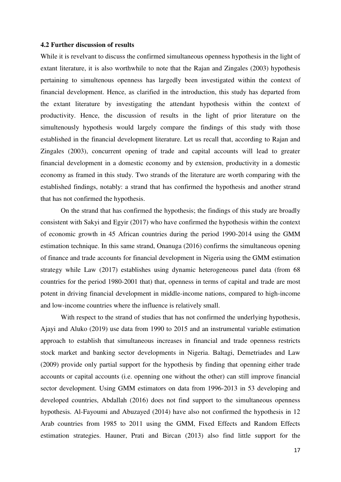#### **4.2 Further discussion of results**

While it is revelvant to discuss the confirmed simultaneous openness hypothesis in the light of extant literature, it is also worthwhile to note that the Rajan and Zingales (2003) hypothesis pertaining to simultenous openness has largedly been investigated within the context of financial development. Hence, as clarified in the introduction, this study has departed from the extant literature by investigating the attendant hypothesis within the context of productivity. Hence, the discussion of results in the light of prior literature on the simultenously hypothesis would largely compare the findings of this study with those established in the financial development literature. Let us recall that, according to Rajan and Zingales (2003), concurrent opening of trade and capital accounts will lead to greater financial development in a domestic economy and by extension, productivity in a domestic economy as framed in this study. Two strands of the literature are worth comparing with the established findings, notably: a strand that has confirmed the hypothesis and another strand that has not confirmed the hypothesis.

 On the strand that has confirmed the hypothesis; the findings of this study are broadly consistent with Sakyi and Egyir (2017) who have confirmed the hypothesis within the context of economic growth in 45 African countries during the period 1990-2014 using the GMM estimation technique. In this same strand, Onanuga (2016) confirms the simultaneous opening of finance and trade accounts for financial development in Nigeria using the GMM estimation strategy while Law (2017) establishes using dynamic heterogeneous panel data (from 68 countries for the period 1980-2001 that) that, openness in terms of capital and trade are most potent in driving financial development in middle-income nations, compared to high-income and low-income countries where the influence is relatively small.

With respect to the strand of studies that has not confirmed the underlying hypothesis, Ajayi and Aluko (2019) use data from 1990 to 2015 and an instrumental variable estimation approach to establish that simultaneous increases in financial and trade openness restricts stock market and banking sector developments in Nigeria. Baltagi, Demetriades and Law (2009) provide only partial support for the hypothesis by finding that openning either trade accounts or capital accounts (i.e. openning one without the other) can still improve financial sector development. Using GMM estimators on data from 1996-2013 in 53 developing and developed countries, Abdallah (2016) does not find support to the simultaneous openness hypothesis. Al-Fayoumi and Abuzayed (2014) have also not confirmed the hypothesis in 12 Arab countries from 1985 to 2011 using the GMM, Fixed Effects and Random Effects estimation strategies. Hauner, Prati and Bircan (2013) also find little support for the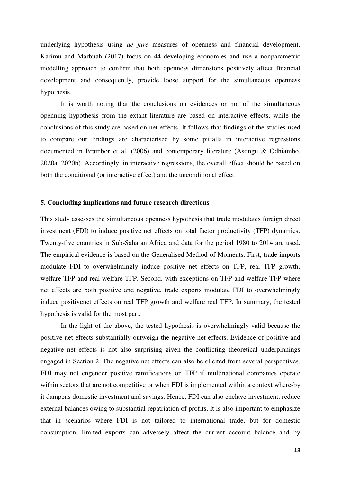underlying hypothesis using *de jure* measures of openness and financial development. Karimu and Marbuah (2017) focus on 44 developing economies and use a nonparametric modelling approach to confirm that both openness dimensions positively affect financial development and consequently, provide loose support for the simultaneous openness hypothesis.

It is worth noting that the conclusions on evidences or not of the simultaneous openning hypothesis from the extant literature are based on interactive effects, while the conclusions of this study are based on net effects. It follows that findings of the studies used to compare our findings are characterised by some pitfalls in interactive regressions documented in Brambor et al. (2006) and contemporary literature (Asongu & Odhiambo, 2020a, 2020b). Accordingly, in interactive regressions, the overall effect should be based on both the conditional (or interactive effect) and the unconditional effect.

#### **5. Concluding implications and future research directions**

This study assesses the simultaneous openness hypothesis that trade modulates foreign direct investment (FDI) to induce positive net effects on total factor productivity (TFP) dynamics. Twenty-five countries in Sub-Saharan Africa and data for the period 1980 to 2014 are used. The empirical evidence is based on the Generalised Method of Moments. First, trade imports modulate FDI to overwhelmingly induce positive net effects on TFP, real TFP growth, welfare TFP and real welfare TFP. Second, with exceptions on TFP and welfare TFP where net effects are both positive and negative, trade exports modulate FDI to overwhelmingly induce positivenet effects on real TFP growth and welfare real TFP. In summary, the tested hypothesis is valid for the most part.

 In the light of the above, the tested hypothesis is overwhelmingly valid because the positive net effects substantially outweigh the negative net effects. Evidence of positive and negative net effects is not also surprising given the conflicting theoretical underpinnings engaged in Section 2. The negative net effects can also be elicited from several perspectives. FDI may not engender positive ramifications on TFP if multinational companies operate within sectors that are not competitive or when FDI is implemented within a context where-by it dampens domestic investment and savings. Hence, FDI can also enclave investment, reduce external balances owing to substantial repatriation of profits. It is also important to emphasize that in scenarios where FDI is not tailored to international trade, but for domestic consumption, limited exports can adversely affect the current account balance and by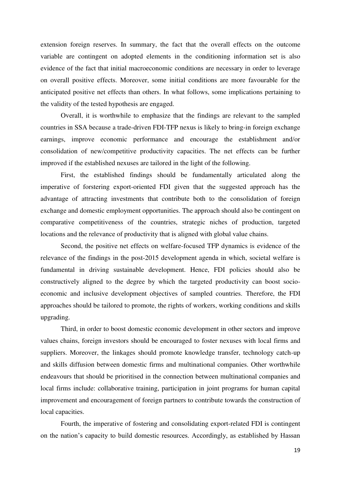extension foreign reserves. In summary, the fact that the overall effects on the outcome variable are contingent on adopted elements in the conditioning information set is also evidence of the fact that initial macroeconomic conditions are necessary in order to leverage on overall positive effects. Moreover, some initial conditions are more favourable for the anticipated positive net effects than others. In what follows, some implications pertaining to the validity of the tested hypothesis are engaged.

 Overall, it is worthwhile to emphasize that the findings are relevant to the sampled countries in SSA because a trade-driven FDI-TFP nexus is likely to bring-in foreign exchange earnings, improve economic performance and encourage the establishment and/or consolidation of new/competitive productivity capacities. The net effects can be further improved if the established nexuses are tailored in the light of the following.

 First, the established findings should be fundamentally articulated along the imperative of forstering export-oriented FDI given that the suggested approach has the advantage of attracting investments that contribute both to the consolidation of foreign exchange and domestic employment opportunities. The approach should also be contingent on comparative competitiveness of the countries, strategic niches of production, targeted locations and the relevance of productivity that is aligned with global value chains.

 Second, the positive net effects on welfare-focused TFP dynamics is evidence of the relevance of the findings in the post-2015 development agenda in which, societal welfare is fundamental in driving sustainable development. Hence, FDI policies should also be constructively aligned to the degree by which the targeted productivity can boost socioeconomic and inclusive development objectives of sampled countries. Therefore, the FDI approaches should be tailored to promote, the rights of workers, working conditions and skills upgrading.

 Third, in order to boost domestic economic development in other sectors and improve values chains, foreign investors should be encouraged to foster nexuses with local firms and suppliers. Moreover, the linkages should promote knowledge transfer, technology catch-up and skills diffusion between domestic firms and multinational companies. Other worthwhile endeavours that should be prioritised in the connection between multinational companies and local firms include: collaborative training, participation in joint programs for human capital improvement and encouragement of foreign partners to contribute towards the construction of local capacities.

 Fourth, the imperative of fostering and consolidating export-related FDI is contingent on the nation's capacity to build domestic resources. Accordingly, as established by Hassan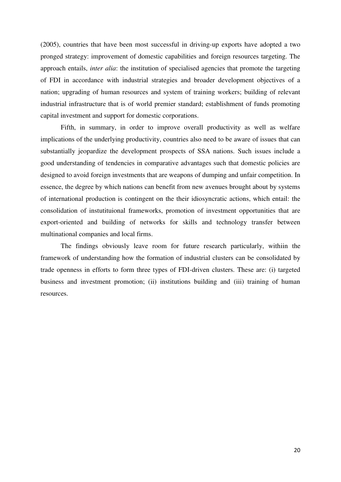(2005), countries that have been most successful in driving-up exports have adopted a two pronged strategy: improvement of domestic capabilities and foreign resources targeting. The approach entails, *inter alia*: the institution of specialised agencies that promote the targeting of FDI in accordance with industrial strategies and broader development objectives of a nation; upgrading of human resources and system of training workers; building of relevant industrial infrastructure that is of world premier standard; establishment of funds promoting capital investment and support for domestic corporations.

 Fifth, in summary, in order to improve overall productivity as well as welfare implications of the underlying productivity, countries also need to be aware of issues that can substantially jeopardize the development prospects of SSA nations. Such issues include a good understanding of tendencies in comparative advantages such that domestic policies are designed to avoid foreign investments that are weapons of dumping and unfair competition. In essence, the degree by which nations can benefit from new avenues brought about by systems of international production is contingent on the their idiosyncratic actions, which entail: the consolidation of instutituional frameworks, promotion of investment opportunities that are export-oriented and building of networks for skills and technology transfer between multinational companies and local firms.

 The findings obviously leave room for future research particularly, withiin the framework of understanding how the formation of industrial clusters can be consolidated by trade openness in efforts to form three types of FDI-driven clusters. These are: (i) targeted business and investment promotion; (ii) institutions building and (iii) training of human resources.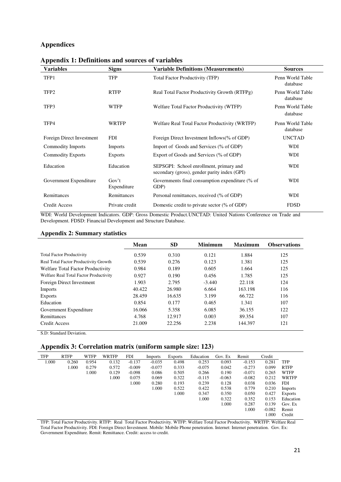# **Appendices**

| Variables                 | <b>Signs</b>                      | <b>Variable Definitions (Measurements)</b>                                              | <b>Sources</b>               |
|---------------------------|-----------------------------------|-----------------------------------------------------------------------------------------|------------------------------|
| TFP1                      | <b>TFP</b>                        | Total Factor Productivity (TFP)                                                         | Penn World Table<br>database |
| TFP <sub>2</sub>          | <b>RTFP</b>                       | Real Total Factor Productivity Growth (RTFPg)                                           | Penn World Table<br>database |
| TFP3                      | <b>WTFP</b>                       | Welfare Total Factor Productivity (WTFP)                                                | Penn World Table<br>database |
| TFP4                      | <b>WRTFP</b>                      | Welfare Real Total Factor Productivity (WRTFP)                                          | Penn World Table<br>database |
| Foreign Direct Investment | <b>FDI</b>                        | Foreign Direct Investment Inflows(% of GDP)                                             | <b>UNCTAD</b>                |
| <b>Commodity Imports</b>  | <b>Imports</b>                    | Import of Goods and Services (% of GDP)                                                 | WDI                          |
| <b>Commodity Exports</b>  | <b>Exports</b>                    | Export of Goods and Services (% of GDP)                                                 | <b>WDI</b>                   |
| Education                 | Education                         | SEPSGPI: School enrollment, primary and<br>secondary (gross), gender parity index (GPI) | WDI                          |
| Government Expenditure    | Gov <sup>2</sup> t<br>Expenditure | Governments final consumption expenditure (% of<br>GDP)                                 | WDI                          |
| Remittances               | Remittances                       | Personal remittances, received (% of GDP)                                               | WDI                          |
| <b>Credit Access</b>      | Private credit                    | Domestic credit to private sector (% of GDP)                                            | <b>FDSD</b>                  |

|  |  | <b>Appendix 1: Definitions and sources of variables</b> |  |  |
|--|--|---------------------------------------------------------|--|--|
|--|--|---------------------------------------------------------|--|--|

WDI: World Development Indicators. GDP: Gross Domestic Product.UNCTAD: United Nations Conference on Trade and Development. FDSD: Financial Development and Structure Database.

#### **Appendix 2: Summary statistics**

|                                        | Mean   | <b>SD</b> | <b>Minimum</b> | <b>Maximum</b> | <b>Observations</b> |
|----------------------------------------|--------|-----------|----------------|----------------|---------------------|
| <b>Total Factor Productivity</b>       | 0.539  | 0.310     | 0.121          | 1.884          | 125                 |
| Real Total Factor Productivity Growth  | 0.539  | 0.276     | 0.123          | 1.381          | 125                 |
| Welfare Total Factor Productivity      | 0.984  | 0.189     | 0.605          | 1.664          | 125                 |
| Welfare Real Total Factor Productivity | 0.927  | 0.190     | 0.456          | 1.785          | 125                 |
| Foreign Direct Investment              | 1.903  | 2.795     | $-3.440$       | 22.118         | 124                 |
| Imports                                | 40.422 | 26.980    | 6.664          | 163.198        | 116                 |
| <b>Exports</b>                         | 28.459 | 16.635    | 3.199          | 66.722         | 116                 |
| Education                              | 0.854  | 0.177     | 0.465          | 1.341          | 107                 |
| Government Expenditure                 | 16.066 | 5.358     | 6.085          | 36.155         | 122                 |
| Remittances                            | 4.768  | 12.917    | 0.003          | 89.354         | 107                 |
| Credit Access                          | 21.009 | 22.256    | 2.238          | 144.397        | 121                 |

S.D: Standard Deviation.

# **Appendix 3: Correlation matrix (uniform sample size: 123)**

| <b>TFP</b> | <b>RTFP</b> | <b>WTFP</b> | WRTFP | <b>FDI</b> | Imports  | <b>Exports</b> | Education | Gov. Ex  | Remit    | Credit   |                |
|------------|-------------|-------------|-------|------------|----------|----------------|-----------|----------|----------|----------|----------------|
| 1.000      | 0.260       | 0.954       | 0.132 | $-0.137$   | $-0.035$ | 0.498          | 0.253     | 0.093    | $-0.153$ | 0.281    | <b>TFP</b>     |
|            | 1.000       | 0.279       | 0.572 | $-0.009$   | $-0.077$ | 0.333          | $-0.075$  | 0.042    | $-0.273$ | 0.099    | <b>RTFP</b>    |
|            |             | 1.000       | 0.129 | $-0.098$   | 0.086    | 0.505          | 0.266     | 0.190    | $-0.071$ | 0.265    | <b>WTFP</b>    |
|            |             |             | 1.000 | 0.075      | 0.069    | 0.322          | $-0.115$  | $-0.063$ | $-0.082$ | 0.212    | <b>WRTFP</b>   |
|            |             |             |       | 1.000      | 0.280    | 0.193          | 0.239     | 0.128    | 0.038    | 0.036    | <b>FDI</b>     |
|            |             |             |       |            | 1.000    | 0.522          | 0.422     | 0.538    | 0.779    | 0.210    | <b>Imports</b> |
|            |             |             |       |            |          | 1.000          | 0.347     | 0.350    | 0.050    | 0.427    | <b>Exports</b> |
|            |             |             |       |            |          |                | 1.000     | 0.322    | 0.352    | 0.153    | Education      |
|            |             |             |       |            |          |                |           | 1.000    | 0.287    | 0.139    | Gov. Ex        |
|            |             |             |       |            |          |                |           |          | 1.000    | $-0.082$ | Remit          |
|            |             |             |       |            |          |                |           |          |          | 1.000    | Credit         |

TFP: Total Factor Productivity. RTFP: Real Total Factor Productivity. WTFP: Welfare Total Factor Productivity. WRTFP: Welfare Real Total Factor Productivity. FDI: Foreign Direct Investment. Mobile: Mobile Phone penetration. Internet: Internet penetration. Gov. Ex: Government Expenditure. Remit: Remittance. Credit: access to credit.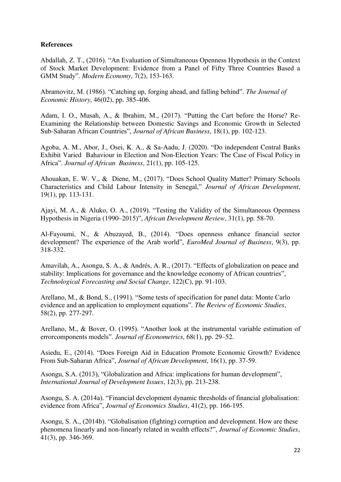# **References**

Abdallah, Z. T., (2016). "An Evaluation of Simultaneous Openness Hypothesis in the Context of Stock Market Development: Evidence from a Panel of Fifty Three Countries Based a GMM Study". *Modern Economy*, 7(2), 153-163.

Abramovitz, M. (1986). "Catching up, forging ahead, and falling behind". *The Journal of Economic History*, 46(02), pp. 385-406.

Adam, I. O., Musah, A., & Ibrahim, M., (2017). "Putting the Cart before the Horse? Re-Examining the Relationship between Domestic Savings and Economic Growth in Selected Sub-Saharan African Countries", *Journal of African Business*, 18(1), pp. 102-123.

Agoba, A. M., Abor, J., Osei, K. A., & Sa-Aadu, J. (2020). "Do independent Central Banks Exhibit Varied Bahaviour in Election and Non-Election Years: The Case of Fiscal Policy in Africa". *Journal of African Business*, 21(1), pp. 105-125.

Ahouakan, E. W. V., & Diene, M., (2017). "Does School Quality Matter? Primary Schools Characteristics and Child Labour Intensity in Senegal," *Journal of African Development*, 19(1), pp. 113-131.

Ajayi, M. A., & Aluko, O. A., (2019). "Testing the Validity of the Simultaneous Openness Hypothesis in Nigeria (1990–2015)", *African Development Review*, 31(1), pp. 58-70.

Al-Fayoumi, N., & Abuzayed, B., (2014). "Does openness enhance financial sector development? The experience of the Arab world", *EuroMed Journal of Business*, 9(3), pp. 318-332.

Amavilah, A., Asongu, S. A., & Andrés, A. R., (2017). "Effects of globalization on peace and stability: Implications for governance and the knowledge economy of African countries", *Technological Forecasting and Social Change*, 122(C), pp. 91-103.

Arellano, M., & Bond, S., (1991). "Some tests of specification for panel data: Monte Carlo evidence and an application to employment equations". *The Review of Economic Studies*, 58(2), pp. 277-297.

Arellano, M., & Bover, O. (1995). "Another look at the instrumental variable estimation of errorcomponents models". *Journal of Econometrics,* 68(1), pp. 29–52.

Asiedu, E., (2014). "Does Foreign Aid in Education Promote Economic Growth? Evidence From Sub-Saharan Africa", *Journal of African Development*, 16(1), pp. 37-59.

Asongu, S.A. (2013), "Globalization and Africa: implications for human development", *International Journal of Development Issues*, 12(3), pp. 213-238.

Asongu, S. A. (2014a). "Financial development dynamic thresholds of financial globalisation: evidence from Africa", *Journal of Economics Studies*, 41(2), pp. 166-195.

Asongu, S. A., (2014b). "Globalisation (fighting) corruption and development. How are these phenomena linearly and non-linearly related in wealth effects?", *Journal of Economic Studies*, 41(3), pp. 346-369.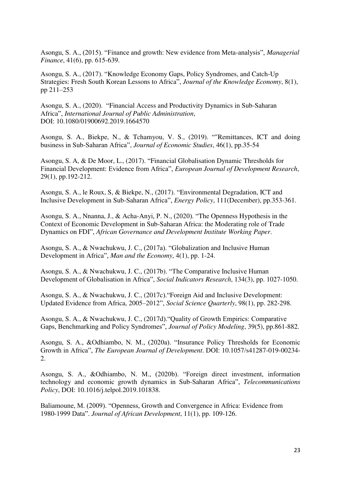Asongu, S. A., (2015). "Finance and growth: New evidence from Meta-analysis", *Managerial Finance*, 41(6), pp. 615-639.

Asongu, S. A., (2017). "Knowledge Economy Gaps, Policy Syndromes, and Catch-Up Strategies: Fresh South Korean Lessons to Africa", *Journal of the Knowledge Economy*, 8(1), pp 211–253

Asongu, S. A., (2020). "Financial Access and Productivity Dynamics in Sub-Saharan Africa", *International Journal of Public Administration*, DOI: 10.1080/01900692.2019.1664570

Asongu, S. A., Biekpe, N., & Tchamyou, V. S., (2019). ""Remittances, ICT and doing business in Sub-Saharan Africa", *Journal of Economic Studies*, 46(1), pp.35-54

Asongu, S. A, & De Moor, L., (2017). "Financial Globalisation Dynamic Thresholds for Financial Development: Evidence from Africa", *European Journal of Development Research*, 29(1), pp.192-212.

Asongu, S. A., le Roux, S, & Biekpe, N., (2017). "Environmental Degradation, ICT and Inclusive Development in Sub-Saharan Africa", *Energy Policy*, 111(December), pp.353-361.

Asongu, S. A., Nnanna, J., & Acha-Anyi, P. N., (2020). "The Openness Hypothesis in the Context of Economic Development in Sub-Saharan Africa: the Moderating role of Trade Dynamics on FDI", *African Governance and Development Institute Working Paper*.

Asongu, S. A., & Nwachukwu, J. C., (2017a). "Globalization and Inclusive Human Development in Africa", *Man and the Economy*, 4(1), pp. 1-24.

Asongu, S. A., & Nwachukwu, J. C., (2017b). "The Comparative Inclusive Human Development of Globalisation in Africa", *Social Indicators Research*, 134(3), pp. 1027-1050.

Asongu, S. A., & Nwachukwu, J. C., (2017c)."Foreign Aid and Inclusive Development: Updated Evidence from Africa, 2005–2012", *Social Science Quarterly*, 98(1), pp. 282-298.

Asongu, S. A., & Nwachukwu, J. C., (2017d)."Quality of Growth Empirics: Comparative Gaps, Benchmarking and Policy Syndromes", *Journal of Policy Modeling*, 39(5), pp.861-882.

Asongu, S. A., &Odhiambo, N. M., (2020a). "Insurance Policy Thresholds for Economic Growth in Africa", *The European Journal of Development*. DOI: 10.1057/s41287-019-00234- 2.

Asongu, S. A., &Odhiambo, N. M., (2020b). "Foreign direct investment, information technology and economic growth dynamics in Sub-Saharan Africa", *Telecommunications Policy*, DOI: 10.1016/j.telpol.2019.101838.

Baliamoune, M. (2009). "Openness, Growth and Convergence in Africa: Evidence from 1980-1999 Data". *Journal of African Development*, 11(1), pp. 109-126.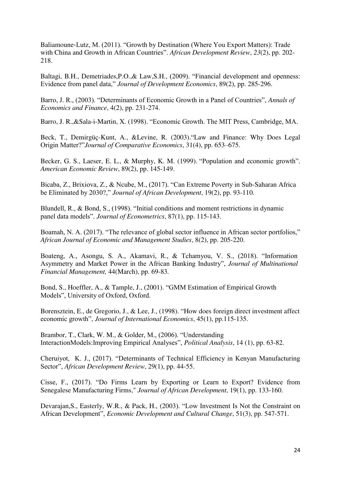Baliamoune-Lutz, M. (2011). "Growth by Destination (Where You Export Matters): Trade with China and Growth in African Countries". *African Development Review*, *23*(2), pp. 202- 218.

Baltagi, B.H., Demetriades,P.O.,& Law,S.H., (2009). "Financial development and openness: Evidence from panel data," *Journal of Development Economics*, 89(2), pp. 285-296.

Barro, J. R., (2003). "Determinants of Economic Growth in a Panel of Countries", *Annals of Economics and Finance*, 4(2), pp. 231-274.

Barro, J. R.,&Sala-i-Martin, X. (1998). "Economic Growth. The MIT Press, Cambridge, MA.

Beck, T., Demirgüç-Kunt, A., &Levine, R. (2003)."Law and Finance: Why Does Legal Origin Matter?"*Journal of Comparative Economics*, 31(4), pp. 653–675.

Becker, G. S., Laeser, E. L., & Murphy, K. M. (1999). "Population and economic growth". *American Economic Review*, 89(2), pp. 145-149.

Bicaba, Z., Brixiova, Z., & Ncube, M., (2017). "Can Extreme Poverty in Sub-Saharan Africa be Eliminated by 2030?," *Journal of African Development*, 19(2), pp. 93-110.

Blundell, R., & Bond, S., (1998). "Initial conditions and moment restrictions in dynamic panel data models". *Journal of Econometrics*, 87(1), pp. 115-143.

Boamah, N. A. (2017). "The relevance of global sector influence in African sector portfolios," *African Journal of Economic and Management Studies*, 8(2), pp. 205-220.

Boateng, A., Asongu, S. A., Akamavi, R., & Tchamyou, V. S., (2018). "Information Asymmetry and Market Power in the African Banking Industry", *Journal of Multinational Financial Management,* 44(March), pp. 69-83*.*

Bond, S., Hoeffler, A., & Tample, J., (2001). "GMM Estimation of Empirical Growth Models", University of Oxford, Oxford.

Borensztein, E., de Gregorio, J., & Lee, J., (1998). "How does foreign direct investment affect economic growth", *Journal of International Economics*, 45(1), pp.115-135.

Brambor, T., Clark, W. M., & Golder, M., (2006). "Understanding InteractionModels:Improving Empirical Analyses", *Political Analysis*, 14 (1), pp. 63-82.

Cheruiyot, K. J., (2017). "Determinants of Technical Efficiency in Kenyan Manufacturing Sector", *African Development Review*, 29(1), pp. 44-55.

Cisse, F., (2017). "Do Firms Learn by Exporting or Learn to Export? Evidence from Senegalese Manufacturing Firms," *Journal of African Development*, 19(1), pp. 133-160.

Devarajan,S., Easterly, W.R., & Pack, H., (2003). "Low Investment Is Not the Constraint on African Development", *Economic Development and Cultural Change*, 51(3), pp. 547-571.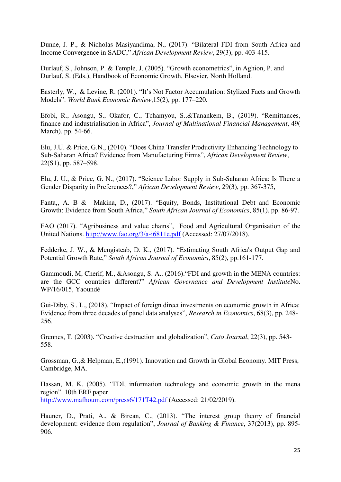Dunne, J. P., & Nicholas Masiyandima, N., (2017). "Bilateral FDI from South Africa and Income Convergence in SADC," *African Development Review*, 29(3), pp. 403-415.

Durlauf, S., Johnson, P. & Temple, J. (2005). "Growth econometrics", in Aghion, P. and Durlauf, S. (Eds.), Handbook of Economic Growth, Elsevier, North Holland.

Easterly, W., & Levine, R. (2001). "It's Not Factor Accumulation: Stylized Facts and Growth Models". *World Bank Economic Review*,15(2), pp. 177–220.

Efobi, R., Asongu, S., Okafor, C., Tchamyou, S.,&Tanankem, B., (2019). "Remittances, finance and industrialisation in Africa", *Journal of Multinational Financial Management*, 49( March), pp. 54-66.

Elu, J.U. & Price, G.N., (2010). "Does China Transfer Productivity Enhancing Technology to Sub-Saharan Africa? Evidence from Manufacturing Firms", *African Development Review*, 22(S1), pp. 587–598.

Elu, J. U., & Price, G. N., (2017). "Science Labor Supply in Sub-Saharan Africa: Is There a Gender Disparity in Preferences?," *African Development Review*, 29(3), pp. 367-375,

Fanta,, A. B & Makina, D., (2017). "Equity, Bonds, Institutional Debt and Economic Growth: Evidence from South Africa," *South African Journal of Economics*, 85(1), pp. 86-97.

FAO (2017). "Agribusiness and value chains", Food and Agricultural Organisation of the United Nations.<http://www.fao.org/3/a-i6811e.pdf>(Accessed: 27/07/2018).

Fedderke, J. W., & Mengisteab, D. K., (2017). "Estimating South Africa's Output Gap and Potential Growth Rate," *South African Journal of Economics*, 85(2), pp.161-177.

Gammoudi, M, Cherif, M., &Asongu, S. A., (2016)."FDI and growth in the MENA countries: are the GCC countries different?" *African Governance and Development Institute*No. WP/16/015, Yaoundé

Gui-Diby, S . L., (2018). "Impact of foreign direct investments on economic growth in Africa: Evidence from three decades of panel data analyses", *Research in Economics*, 68(3), pp. 248- 256.

Grennes, T. (2003). "Creative destruction and globalization", *Cato Journal*, 22(3), pp. 543- 558.

Grossman, G.,& Helpman, E.,(1991). Innovation and Growth in Global Economy. MIT Press, Cambridge, MA.

Hassan, M. K. (2005). "FDI, information technology and economic growth in the mena region". 10th ERF paper

<http://www.mafhoum.com/press6/171T42.pdf>(Accessed: 21/02/2019).

Hauner, D., Prati, A., & Bircan, C., (2013). "The interest group theory of financial development: evidence from regulation", *Journal of Banking & Finance*, 37(2013), pp. 895- 906.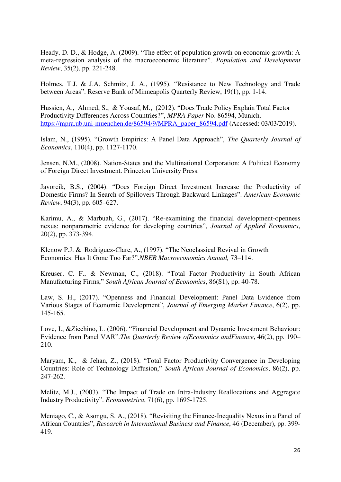Heady, D. D., & Hodge, A. (2009). "The effect of population growth on economic growth: A meta-regression analysis of the macroeconomic literature". *Population and Development Review*, 35(2), pp. 221-248.

Holmes, T.J. & J.A. Schmitz, J. A., (1995). "Resistance to New Technology and Trade between Areas". Reserve Bank of Minneapolis Quarterly Review, 19(1), pp. 1-14.

Hussien, A., Ahmed, S., & Yousaf, M., (2012). "Does Trade Policy Explain Total Factor Productivity Differences Across Countries?", *MPRA Paper* No. 86594, Munich. [https://mpra.ub.uni-muenchen.de/86594/9/MPRA\\_paper\\_86594.pdf](https://mpra.ub.uni-muenchen.de/86594/9/MPRA_paper_86594.pdf) (Accessed: 03/03/2019).

Islam, N., (1995). "Growth Empirics: A Panel Data Approach", *The Quarterly Journal of Economics*, 110(4), pp. 1127-1170.

Jensen, N.M., (2008). Nation-States and the Multinational Corporation: A Political Economy of Foreign Direct Investment. Princeton University Press.

Javorcik, B.S., (2004). "Does Foreign Direct Investment Increase the Productivity of Domestic Firms? In Search of Spillovers Through Backward Linkages". *American Economic Review*, 94(3), pp. 605–627.

Karimu, A., & Marbuah, G., (2017). "Re-examining the financial development-openness nexus: nonparametric evidence for developing countries", *Journal of Applied Economics*, 20(2), pp. 373-394.

Klenow P.J. & Rodriguez-Clare, A., (1997). "The Neoclassical Revival in Growth Economics: Has It Gone Too Far?".*NBER Macroeconomics Annual,* 73–114.

Kreuser, C. F., & Newman, C., (2018). "Total Factor Productivity in South African Manufacturing Firms," *South African Journal of Economics*, 86(S1), pp. 40-78.

Law, S. H., (2017). "Openness and Financial Development: Panel Data Evidence from Various Stages of Economic Development", *Journal of Emerging Market Finance*, 6(2), pp. 145-165.

Love, I., &Zicchino, L. (2006). "Financial Development and Dynamic Investment Behaviour: Evidence from Panel VAR".*The Quarterly Review ofEconomics andFinance*, 46(2), pp. 190– 210.

Maryam, K., & Jehan, Z., (2018). "Total Factor Productivity Convergence in Developing Countries: Role of Technology Diffusion," *South African Journal of Economics*, 86(2), pp. 247-262.

Melitz, M.J., (2003). "The Impact of Trade on Intra-Industry Reallocations and Aggregate Industry Productivity". *Econometrica*, 71(6), pp. 1695-1725.

Meniago, C., & Asongu, S. A., (2018). "Revisiting the Finance-Inequality Nexus in a Panel of African Countries", *Research in International Business and Finance*, 46 (December), pp. 399- 419.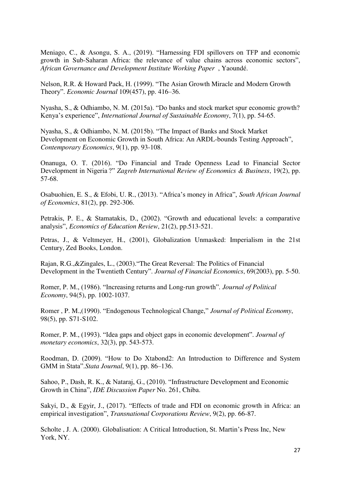Meniago, C., & Asongu, S. A., (2019). "Harnessing FDI spillovers on TFP and economic growth in Sub-Saharan Africa: the relevance of value chains across economic sectors", *African Governance and Development Institute Working Paper* , Yaoundé.

Nelson, R.R. & Howard Pack, H. (1999). "The Asian Growth Miracle and Modern Growth Theory". *Economic Journal* 109(457), pp. 416–36.

Nyasha, S., & Odhiambo, N. M. (2015a). "Do banks and stock market spur economic growth? Kenya's experience", *International Journal of Sustainable Economy*, 7(1), pp. 54-65.

Nyasha, S., & Odhiambo, N. M. (2015b). "The Impact of Banks and Stock Market Development on Economic Growth in South Africa: An ARDL-bounds Testing Approach", *Contemporary Economics*, 9(1), pp. 93-108.

Onanuga, O. T. (2016). "Do Financial and Trade Openness Lead to Financial Sector Development in Nigeria ?" *Zagreb International Review of Economics & Business*, 19(2), pp. 57-68.

Osabuohien, E. S., & Efobi, U. R., (2013). "Africa's money in Africa", *South African Journal of Economics*, 81(2), pp. 292-306.

Petrakis, P. E., & Stamatakis, D., (2002). "Growth and educational levels: a comparative analysis", *Economics of Education Review*, 21(2), pp.513-521.

Petras, J., & Veltmeyer, H., (2001), Globalization Unmasked: Imperialism in the 21st Century, Zed Books, London.

Rajan, R.G.,&Zingales, L., (2003)."The Great Reversal: The Politics of Financial Development in the Twentieth Century". *Journal of Financial Economics*, 69(2003), pp. 5-50.

Romer, P. M., (1986). "Increasing returns and Long-run growth"*. Journal of Political Economy*, 94(5), pp. 1002-1037.

Romer , P. M.,(1990). "Endogenous Technological Change," *Journal of Political Economy*, 98(5), pp. S71-S102.

Romer, P. M., (1993). "Idea gaps and object gaps in economic development". *Journal of monetary economics*, 32(3), pp. 543-573.

Roodman, D. (2009). "How to Do Xtabond2: An Introduction to Difference and System GMM in Stata".*Stata Journal*, 9(1), pp. 86–136.

Sahoo, P., Dash, R. K., & Nataraj, G., (2010). "Infrastructure Development and Economic Growth in China", *IDE Discussion Paper* No. 261, Chiba.

Sakyi, D., & Egyir, J., (2017). "Effects of trade and FDI on economic growth in Africa: an empirical investigation", *Transnational Corporations Review*, 9(2), pp. 66-87.

Scholte , J. A. (2000). Globalisation: A Critical Introduction, St. Martin's Press Inc, New York, NY.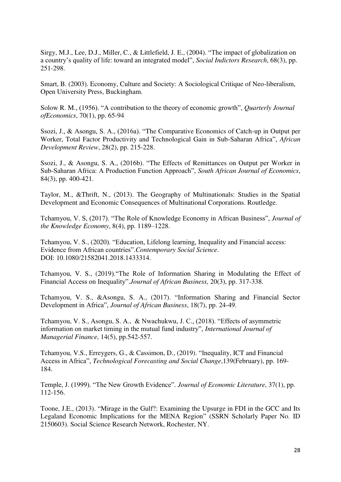Sirgy, M.J., Lee, D.J., Miller, C., & Littlefield, J. E., (2004). "The impact of globalization on a country's quality of life: toward an integrated model", *Social Indictors Research*, 68(3), pp. 251-298.

Smart, B. (2003). Economy, Culture and Society: A Sociological Critique of Neo-liberalism, Open University Press, Buckingham.

Solow R. M., (1956). "A contribution to the theory of economic growth", *Quarterly Journal ofEconomics*, 70(1), pp. 65-94

Ssozi, J., & Asongu, S. A., (2016a). "The Comparative Economics of Catch-up in Output per Worker, Total Factor Productivity and Technological Gain in Sub-Saharan Africa", *African Development Review*, 28(2), pp. 215-228.

Ssozi, J., & Asongu, S. A., (2016b). "The Effects of Remittances on Output per Worker in Sub-Saharan Africa: A Production Function Approach", *South African Journal of Economics*, 84(3), pp. 400-421.

Taylor, M., &Thrift, N., (2013). The Geography of Multinationals: Studies in the Spatial Development and Economic Consequences of Multinational Corporations. Routledge.

Tchamyou, V. S, (2017). "The Role of Knowledge Economy in African Business", *Journal of the Knowledge Economy*, 8(4), pp. 1189–1228.

Tchamyou, V. S., (2020). "Education, Lifelong learning, Inequality and Financial access: Evidence from African countries".*Contemporary Social Science*. DOI: 10.1080/21582041.2018.1433314.

Tchamyou, V. S., (2019)."The Role of Information Sharing in Modulating the Effect of Financial Access on Inequality".*Journal of African Business,* 20(3), pp. 317-338.

Tchamyou, V. S., &Asongu, S. A., (2017). "Information Sharing and Financial Sector Development in Africa", *Journal of African Business*, 18(7), pp. 24-49.

Tchamyou, V. S., Asongu, S. A., & Nwachukwu, J. C., (2018). "Effects of asymmetric information on market timing in the mutual fund industry", *International Journal of Managerial Finance*, 14(5), pp.542-557.

Tchamyou, V.S., Erreygers, G., & Cassimon, D., (2019). "Inequality, ICT and Financial Access in Africa", *Technological Forecasting and Social Change*,139(February), pp. 169- 184.

Temple, J. (1999). "The New Growth Evidence". *Journal of Economic Literature*, 37(1), pp. 112-156.

Toone, J.E., (2013). "Mirage in the Gulf?: Examining the Upsurge in FDI in the GCC and Its Legaland Economic Implications for the MENA Region" (SSRN Scholarly Paper No. ID 2150603). Social Science Research Network, Rochester, NY.